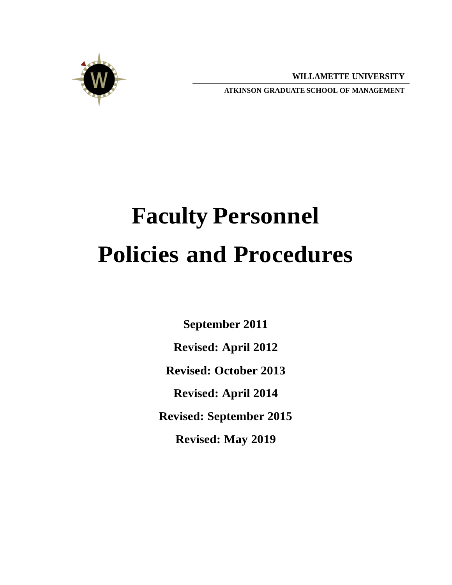**WILLAMETTE UNIVERSITY**



**ATKINSON GRADUATE SCHOOL OF MANAGEMENT**

# **Faculty Personnel Policies and Procedures**

**September 2011 Revised: April 2012 Revised: October 2013 Revised: April 2014 Revised: September 2015 Revised: May 2019**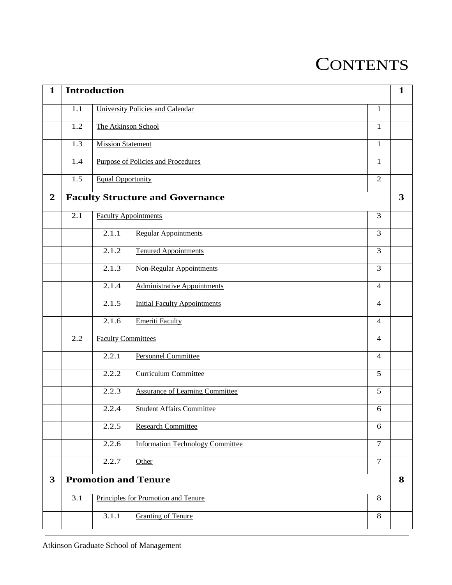## **CONTENTS**

| $\mathbf{1}$   |     | <b>Introduction</b>       |                                           |                | $\mathbf{1}$ |
|----------------|-----|---------------------------|-------------------------------------------|----------------|--------------|
|                | 1.1 |                           | University Policies and Calendar          | $\mathbf{1}$   |              |
|                | 1.2 | The Atkinson School       |                                           | $\mathbf{1}$   |              |
|                | 1.3 | <b>Mission Statement</b>  |                                           | $\mathbf{1}$   |              |
|                |     |                           |                                           |                |              |
|                | 1.4 |                           | <b>Purpose of Policies and Procedures</b> | $\mathbf{1}$   |              |
|                | 1.5 | <b>Equal Opportunity</b>  |                                           | $\overline{2}$ |              |
| $\overline{2}$ |     |                           | <b>Faculty Structure and Governance</b>   |                | $\mathbf{3}$ |
|                | 2.1 |                           | <b>Faculty Appointments</b>               | 3              |              |
|                |     | 2.1.1                     | <b>Regular Appointments</b>               | 3              |              |
|                |     | 2.1.2                     | <b>Tenured Appointments</b>               | 3              |              |
|                |     | 2.1.3                     | <b>Non-Regular Appointments</b>           | 3              |              |
|                |     | 2.1.4                     | <b>Administrative Appointments</b>        | $\overline{4}$ |              |
|                |     | 2.1.5                     | <b>Initial Faculty Appointments</b>       | 4              |              |
|                |     | 2.1.6                     | <b>Emeriti Faculty</b>                    | $\overline{4}$ |              |
|                | 2.2 | <b>Faculty Committees</b> |                                           | $\overline{4}$ |              |
|                |     | 2.2.1                     | <b>Personnel Committee</b>                | $\overline{4}$ |              |
|                |     | 2.2.2                     | <b>Curriculum Committee</b>               | 5              |              |
|                |     | 2.2.3                     | <b>Assurance of Learning Committee</b>    | $\overline{5}$ |              |
|                |     | 2.2.4                     | <b>Student Affairs Committee</b>          | 6              |              |
|                |     | 2.2.5                     | <b>Research Committee</b>                 | 6              |              |
|                |     | 2.2.6                     | <b>Information Technology Committee</b>   | $\overline{7}$ |              |
|                |     | 2.2.7                     | Other                                     | $\tau$         |              |
| $\mathbf{3}$   |     |                           | <b>Promotion and Tenure</b>               |                | 8            |
|                | 3.1 |                           | Principles for Promotion and Tenure       | 8              |              |
|                |     | 3.1.1                     | <b>Granting of Tenure</b>                 | 8              |              |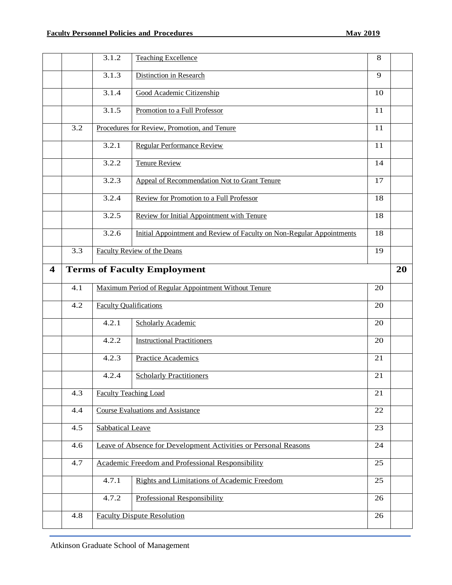|                         |     | 3.1.2                   | <b>Teaching Excellence</b>                                            | 8  |    |
|-------------------------|-----|-------------------------|-----------------------------------------------------------------------|----|----|
|                         |     | 3.1.3                   | <b>Distinction in Research</b>                                        | 9  |    |
|                         |     | 3.1.4                   | Good Academic Citizenship                                             | 10 |    |
|                         |     | 3.1.5                   | Promotion to a Full Professor                                         | 11 |    |
|                         | 3.2 |                         | Procedures for Review, Promotion, and Tenure                          | 11 |    |
|                         |     | 3.2.1                   | <b>Regular Performance Review</b>                                     | 11 |    |
|                         |     | 3.2.2                   | <b>Tenure Review</b>                                                  | 14 |    |
|                         |     | 3.2.3                   | Appeal of Recommendation Not to Grant Tenure                          | 17 |    |
|                         |     | 3.2.4                   | Review for Promotion to a Full Professor                              | 18 |    |
|                         |     | 3.2.5                   | Review for Initial Appointment with Tenure                            | 18 |    |
|                         |     | 3.2.6                   | Initial Appointment and Review of Faculty on Non-Regular Appointments | 18 |    |
|                         | 3.3 |                         | Faculty Review of the Deans                                           | 19 |    |
| $\overline{\mathbf{4}}$ |     |                         | <b>Terms of Faculty Employment</b>                                    |    | 20 |
|                         | 4.1 |                         | Maximum Period of Regular Appointment Without Tenure                  | 20 |    |
|                         | 4.2 |                         | <b>Faculty Qualifications</b>                                         | 20 |    |
|                         |     | 4.2.1                   | <b>Scholarly Academic</b>                                             | 20 |    |
|                         |     | 4.2.2                   | <b>Instructional Practitioners</b>                                    | 20 |    |
|                         |     | 4.2.3                   | <b>Practice Academics</b>                                             | 21 |    |
|                         |     | 4.2.4                   | <b>Scholarly Practitioners</b>                                        | 21 |    |
|                         | 4.3 |                         | <b>Faculty Teaching Load</b>                                          | 21 |    |
|                         | 4.4 |                         | <b>Course Evaluations and Assistance</b>                              | 22 |    |
|                         | 4.5 | <b>Sabbatical Leave</b> |                                                                       | 23 |    |
|                         | 4.6 |                         | Leave of Absence for Development Activities or Personal Reasons       | 24 |    |
|                         | 4.7 |                         | Academic Freedom and Professional Responsibility                      | 25 |    |
|                         |     | 4.7.1                   | <b>Rights and Limitations of Academic Freedom</b>                     | 25 |    |
|                         |     | 4.7.2                   | <b>Professional Responsibility</b>                                    | 26 |    |
|                         | 4.8 |                         | <b>Faculty Dispute Resolution</b>                                     | 26 |    |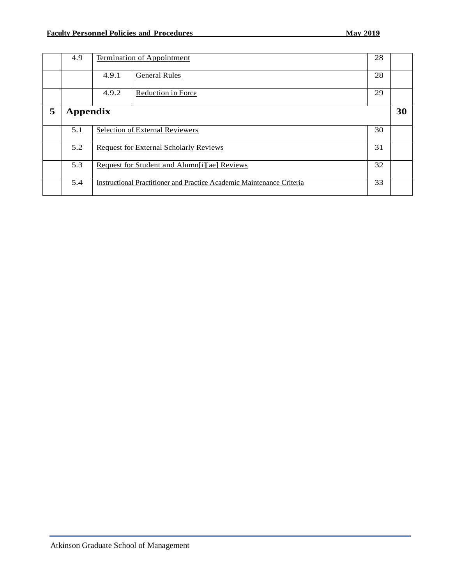|   | 4.9             |       | <b>Termination of Appointment</b>                                     | 28 |    |
|---|-----------------|-------|-----------------------------------------------------------------------|----|----|
|   |                 | 4.9.1 | <b>General Rules</b>                                                  | 28 |    |
|   |                 | 4.9.2 | <b>Reduction in Force</b>                                             | 29 |    |
| 5 | <b>Appendix</b> |       |                                                                       |    | 30 |
|   | 5.1             |       | <b>Selection of External Reviewers</b>                                | 30 |    |
|   | 5.2             |       | <b>Request for External Scholarly Reviews</b>                         | 31 |    |
|   | 5.3             |       | Request for Student and Alumn[i][ae] Reviews                          | 32 |    |
|   | 5.4             |       | Instructional Practitioner and Practice Academic Maintenance Criteria | 33 |    |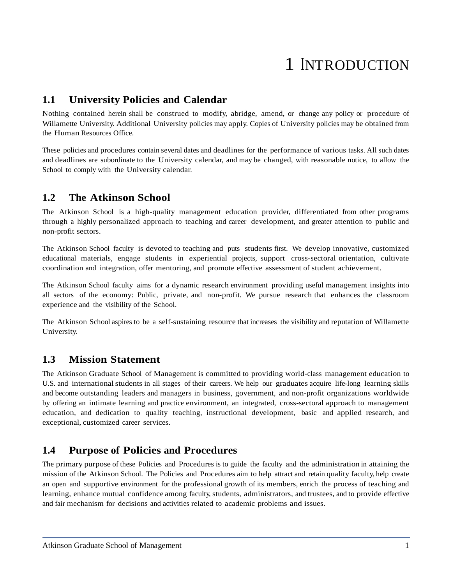## 1 <sup>I</sup>NTRODUCTION

## <span id="page-4-0"></span>**1.1 University Policies and Calendar**

Nothing contained herein shall be construed to modify, abridge, amend, or change any policy or procedure of Willamette University. Additional University policies may apply. Copies of University policies may be obtained from the Human Resources Office.

These policies and procedures contain several dates and deadlines for the performance of various tasks. All such dates and deadlines are subordinate to the University calendar, and may be changed, with reasonable notice, to allow the School to comply with the University calendar.

#### <span id="page-4-1"></span>**1.2 The Atkinson School**

The Atkinson School is a high-quality management education provider, differentiated from other programs through a highly personalized approach to teaching and career development, and greater attention to public and non-profit sectors.

The Atkinson School faculty is devoted to teaching and puts students first. We develop innovative, customized educational materials, engage students in experiential projects, support cross-sectoral orientation, cultivate coordination and integration, offer mentoring, and promote effective assessment of student achievement.

The Atkinson School faculty aims for a dynamic research environment providing useful management insights into all sectors of the economy: Public, private, and non-profit. We pursue research that enhances the classroom experience and the visibility of the School.

The Atkinson School aspires to be a self-sustaining resource that increases the visibility and reputation of Willamette University.

## <span id="page-4-2"></span>**1.3 Mission Statement**

The Atkinson Graduate School of Management is committed to providing world-class management education to U.S. and international students in all stages of their careers. We help our graduates acquire life-long learning skills and become outstanding leaders and managers in business, government, and non-profit organizations worldwide by offering an intimate learning and practice environment, an integrated, cross-sectoral approach to management education, and dedication to quality teaching, instructional development, basic and applied research, and exceptional, customized career services.

## <span id="page-4-3"></span>**1.4 Purpose of Policies and Procedures**

The primary purpose of these Policies and Procedures is to guide the faculty and the administration in attaining the mission of the Atkinson School. The Policies and Procedures aim to help attract and retain quality faculty, help create an open and supportive environment for the professional growth of its members, enrich the process of teaching and learning, enhance mutual confidence among faculty, students, administrators, and trustees, and to provide effective and fair mechanism for decisions and activities related to academic problems and issues.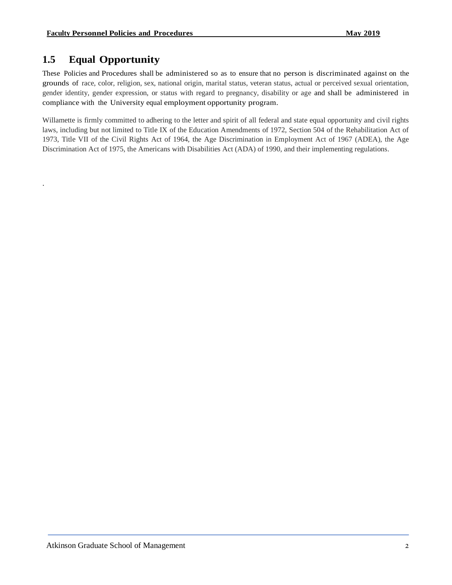## <span id="page-5-0"></span>**1.5 Equal Opportunity**

.

These Policies and Procedures shall be administered so as to ensure that no person is discriminated against on the grounds of race, color, religion, sex, national origin, marital status, veteran status, actual or perceived sexual orientation, gender identity, gender expression, or status with regard to pregnancy, disability or age and shall be administered in compliance with the University equal employment opportunity program.

Willamette is firmly committed to adhering to the letter and spirit of all federal and state equal opportunity and civil rights laws, including but not limited to Title IX of the Education Amendments of 1972, Section 504 of the Rehabilitation Act of 1973, Title VII of the Civil Rights Act of 1964, the Age Discrimination in Employment Act of 1967 (ADEA), the Age Discrimination Act of 1975, the Americans with Disabilities Act (ADA) of 1990, and their implementing regulations.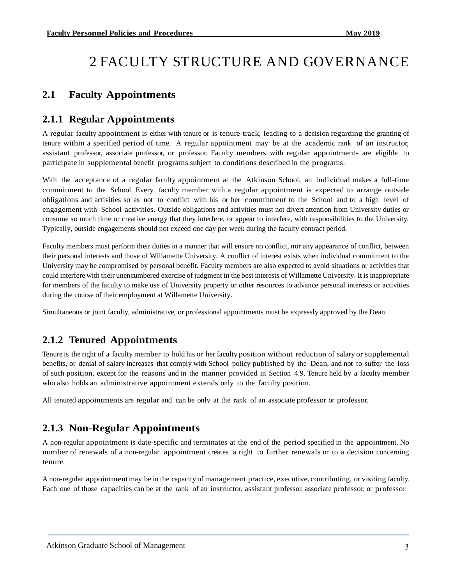## 2 FACULTY STRUCTURE AND GOVERNANCE

## <span id="page-6-0"></span>**2.1 Faculty Appointments**

#### <span id="page-6-1"></span>**2.1.1 Regular Appointments**

A regular faculty appointment is either with tenure or is tenure-track, leading to a decision regarding the granting of tenure within a specified period of time. A regular appointment may be at the academic rank of an instructor, assistant professor, associate professor, or professor. Faculty members with regular appointments are eligible to participate in supplemental benefit programs subject to conditions described in the programs.

With the acceptance of a regular faculty appointment at the Atkinson School, an individual makes a full-time commitment to the School. Every faculty member with a regular appointment is expected to arrange outside obligations and activities so as not to conflict with his or her commitment to the School and to a high level of engagement with School activities. Outside obligations and activities must not divert attention from University duties or consume so much time or creative energy that they interfere, or appear to interfere, with responsibilities to the University. Typically, outside engagements should not exceed one day per week during the faculty contract period.

Faculty members must perform their duties in a manner that will ensure no conflict, nor any appearance of conflict, between their personal interests and those of Willamette University. A conflict of interest exists when individual commitment to the University may be compromised by personal benefit. Faculty members are also expected to avoid situations or activities that could interfere with their unencumbered exercise of judgment in the best interests of Willamette University. It is inappropriate for members of the faculty to make use of University property or other resources to advance personal interests or activities during the course of their employment at Willamette University.

Simultaneous or joint faculty, administrative, or professional appointments must be expressly approved by the Dean.

## <span id="page-6-2"></span>**2.1.2 Tenured Appointments**

Tenure is the right of a faculty member to hold his or her faculty position without reduction of salary or supplemental benefits, or denial of salary increases that comply with School policy published by the Dean, and not to suffer the loss of such position, except for the reasons and in the manner provided in [Section](#page-31-0) 4.9. Tenure held by a faculty member who also holds an administrative appointment extends only to the faculty position.

All tenured appointments are regular and can be only at the rank of an associate professor or professor.

## <span id="page-6-3"></span>**2.1.3 Non-Regular Appointments**

A non-regular appointment is date-specific and terminates at the end of the period specified in the appointment. No number of renewals of a non-regular appointment creates a right to further renewals or to a decision concerning tenure.

A non-regular appointmentmay be in the capacity of management practice, executive, contributing, or visiting faculty. Each one of those capacities can be at the rank of an instructor, assistant professor, associate professor, or professor.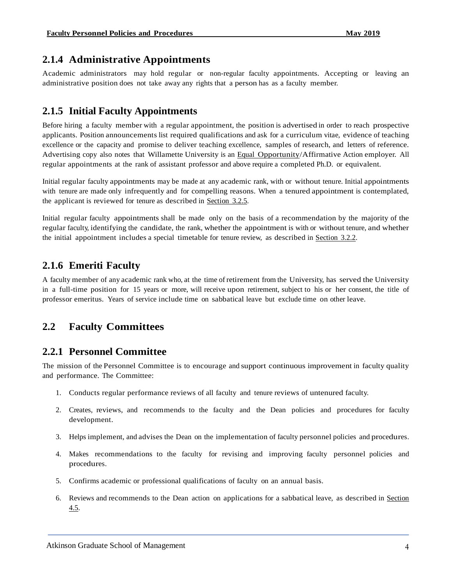## <span id="page-7-0"></span>**2.1.4 Administrative Appointments**

Academic administrators may hold regular or non-regular faculty appointments. Accepting or leaving an administrative position does not take away any rights that a person has as a faculty member.

## <span id="page-7-1"></span>**2.1.5 Initial Faculty Appointments**

Before hiring a faculty member with a regular appointment, the position is advertised in order to reach prospective applicants. Position announcements list required qualifications and ask for a curriculum vitae, evidence of teaching excellence or the capacity and promise to deliver teaching excellence, samples of research, and letters of reference. Advertising copy also notes that Willamette University is an Equal [Opportunity/](#page-5-0)Affirmative Action employer. All regular appointments at the rank of assistant professor and above require a completed Ph.D. or equivalent.

Initial regular faculty appointments may be made at any academic rank, with or without tenure. Initial appointments with tenure are made only infrequently and for compelling reasons. When a tenured appointment is contemplated, the applicant is reviewed for tenure as described in [Section](#page-21-1) 3.2.5.

Initial regular faculty appointments shall be made only on the basis of a recommendation by the majority of the regular faculty, identifying the candidate, the rank, whether the appointment is with or without tenure, and whether the initial appointment includes a special timetable for tenure review, as described in [Section](#page-17-0) 3.2.2.

## <span id="page-7-2"></span>**2.1.6 Emeriti Faculty**

A faculty member of any academic rank who, at the time of retirement from the University, has served the University in a full-time position for 15 years or more, will receive upon retirement, subject to his or her consent, the title of professor emeritus. Years of service include time on sabbatical leave but exclude time on other leave.

## <span id="page-7-3"></span>**2.2 Faculty Committees**

## <span id="page-7-4"></span>**2.2.1 Personnel Committee**

The mission of the Personnel Committee is to encourage and support continuous improvement in faculty quality and performance. The Committee:

- 1. Conducts regular performance reviews of all faculty and tenure reviews of untenured faculty.
- 2. Creates, reviews, and recommends to the faculty and the Dean policies and procedures for faculty development.
- 3. Helps implement, and advises the Dean on the implementation of faculty personnel policies and procedures.
- 4. Makes recommendations to the faculty for revising and improving faculty personnel policies and procedures.
- 5. Confirms academic or professional qualifications of faculty on an annual basis.
- 6. Reviews and recommends to the Dean action on applications for a sabbatical leave, as described in [Section](#page-26-0) [4.5.](#page-26-0)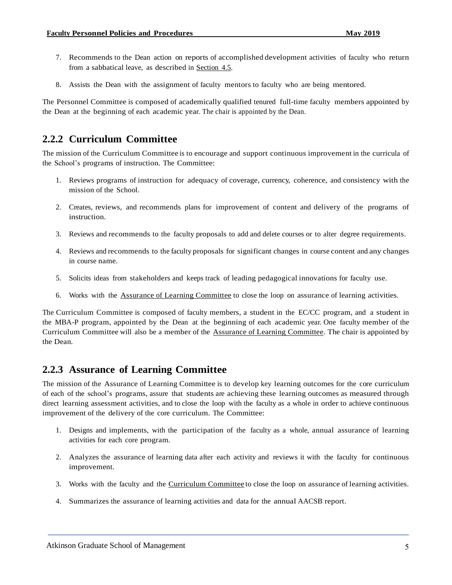- 7. Recommends to the Dean action on reports of accomplished development activities of faculty who return from a sabbatical leave, as described in [Section](#page-26-0) 4.5.
- 8. Assists the Dean with the assignment of faculty mentors to faculty who are being mentored.

The Personnel Committee is composed of academically qualified tenured full-time faculty members appointed by the Dean at the beginning of each academic year. The chair is appointed by the Dean.

## <span id="page-8-0"></span>**2.2.2 Curriculum Committee**

The mission of the Curriculum Committee is to encourage and support continuous improvementin the curricula of the School's programs of instruction. The Committee:

- 1. Reviews programs of instruction for adequacy of coverage, currency, coherence, and consistency with the mission of the School.
- 2. Creates, reviews, and recommends plans for improvement of content and delivery of the programs of instruction.
- 3. Reviews and recommends to the faculty proposals to add and delete courses or to alter degree requirements.
- 4. Reviews and recommends to the faculty proposals for significant changes in course content and any changes in course name.
- 5. Solicits ideas from stakeholders and keeps track of leading pedagogical innovations for faculty use.
- 6. Works with the Assurance of Learning [Committee](#page-8-1) to close the loop on assurance of learning activities.

The Curriculum Committee is composed of faculty members, a student in the EC/CC program, and a student in the MBA-P program, appointed by the Dean at the beginning of each academic year. One faculty member of the Curriculum Committee will also be a member of the Assurance of Learning [Committee.](#page-8-1) The chair is appointed by the Dean.

## <span id="page-8-1"></span>**2.2.3 Assurance of Learning Committee**

The mission of the Assurance of Learning Committee is to develop key learning outcomes for the core curriculum of each of the school's programs, assure that students are achieving these learning outcomes as measured through direct learning assessment activities, and to close the loop with the faculty as a whole in order to achieve continuous improvement of the delivery of the core curriculum. The Committee:

- 1. Designs and implements, with the participation of the faculty as a whole, annual assurance of learning activities for each core program.
- 2. Analyzes the assurance of learning data after each activity and reviews it with the faculty for continuous improvement.
- 3. Works with the faculty and the [Curriculum](#page-8-0) Committee to close the loop on assurance of learning activities.
- 4. Summarizes the assurance of learning activities and data for the annual AACSB report.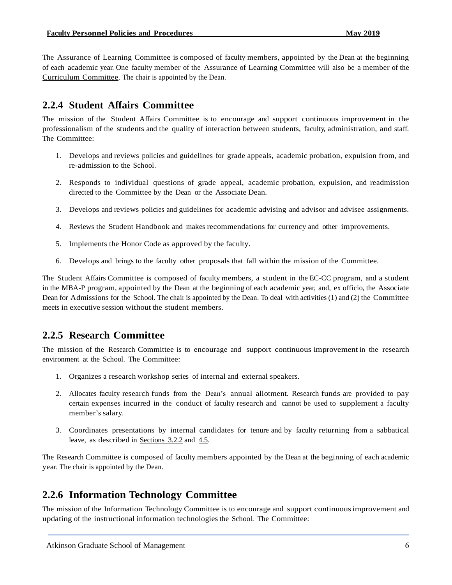The Assurance of Learning Committee is composed of faculty members, appointed by the Dean at the beginning of each academic year. One faculty member of the Assurance of Learning Committee will also be a member of the Curriculum [Committee.](#page-8-0) The chair is appointed by the Dean.

## <span id="page-9-0"></span>**2.2.4 Student Affairs Committee**

The mission of the Student Affairs Committee is to encourage and support continuous improvement in the professionalism of the students and the quality of interaction between students, faculty, administration, and staff. The Committee:

- 1. Develops and reviews policies and guidelines for grade appeals, academic probation, expulsion from, and re-admission to the School.
- 2. Responds to individual questions of grade appeal, academic probation, expulsion, and readmission directed to the Committee by the Dean or the Associate Dean.
- 3. Develops and reviews policies and guidelines for academic advising and advisor and advisee assignments.
- 4. Reviews the Student Handbook and makes recommendations for currency and other improvements.
- 5. Implements the Honor Code as approved by the faculty.
- 6. Develops and brings to the faculty other proposals that fall within the mission of the Committee.

The Student Affairs Committee is composed of faculty members, a student in the EC-CC program, and a student in the MBA-P program, appointed by the Dean at the beginning of each academic year, and, ex officio, the Associate Dean for Admissions for the School. The chair is appointed by the Dean. To deal with activities (1) and (2) the Committee meets in executive session without the student members.

## <span id="page-9-1"></span>**2.2.5 Research Committee**

The mission of the Research Committee is to encourage and support continuous improvementin the research environment at the School. The Committee:

- 1. Organizes a research workshop series of internal and external speakers.
- 2. Allocates faculty research funds from the Dean's annual allotment. Research funds are provided to pay certain expenses incurred in the conduct of faculty research and cannot be used to supplement a faculty member's salary.
- 3. Coordinates presentations by internal candidates for tenure and by faculty returning from a sabbatical leave, as described in [Sections](#page-17-0) 3.2.2 and [4.5.](#page-26-0)

The Research Committee is composed of faculty members appointed by the Dean at the beginning of each academic year. The chair is appointed by the Dean.

## <span id="page-9-2"></span>**2.2.6 Information Technology Committee**

The mission of the Information Technology Committee is to encourage and support continuousimprovement and updating of the instructional information technologies the School. The Committee: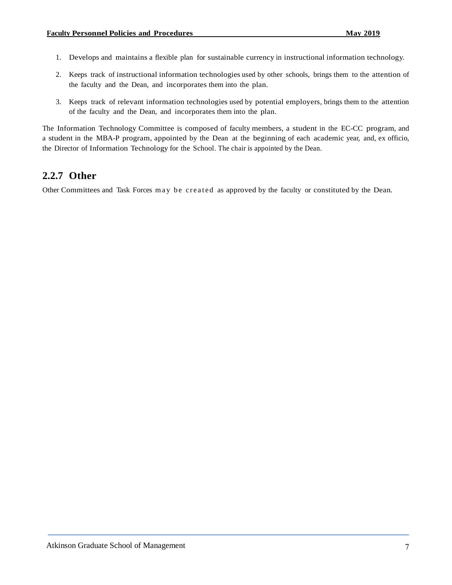- 1. Develops and maintains a flexible plan for sustainable currency in instructional information technology.
- 2. Keeps track of instructional information technologies used by other schools, brings them to the attention of the faculty and the Dean, and incorporates them into the plan.
- 3. Keeps track of relevant information technologies used by potential employers, brings them to the attention of the faculty and the Dean, and incorporates them into the plan.

The Information Technology Committee is composed of faculty members, a student in the EC-CC program, and a student in the MBA-P program, appointed by the Dean at the beginning of each academic year, and, ex officio, the Director of Information Technology for the School. The chair is appointed by the Dean.

## <span id="page-10-0"></span>**2.2.7 Other**

Other Committees and Task Forces may be created as approved by the faculty or constituted by the Dean.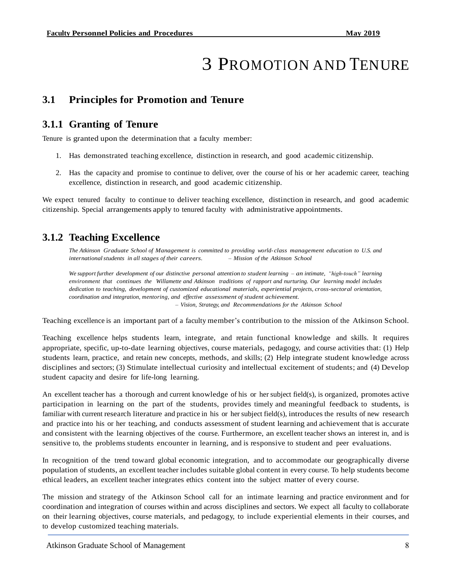## 3 PROMOTION AND TENURE

## <span id="page-11-0"></span>**3.1 Principles for Promotion and Tenure**

## <span id="page-11-1"></span>**3.1.1 Granting of Tenure**

Tenure is granted upon the determination that a faculty member:

- 1. Has demonstrated teaching excellence, distinction in research, and good academic citizenship.
- 2. Has the capacity and promise to continue to deliver, over the course of his or her academic career, teaching excellence, distinction in research, and good academic citizenship.

We expect tenured faculty to continue to deliver teaching excellence, distinction in research, and good academic citizenship. Special arrangements apply to tenured faculty with administrative appointments.

## <span id="page-11-2"></span>**3.1.2 Teaching Excellence**

*The Atkinson Graduate School of Management is committed to providing world- class management education to U.S. and internationalstudents in all stages of their careers. – Mission of the Atkinson School*

We support further development of our distinctive personal attention to student learning - an intimate, "high-touch" learning *environment that continues the Willamette and Atkinson traditions of rapport and nurturing. Our learning model includes dedication to teaching, development of customized educational materials, experiential projects, cross-sectoral orientation, coordination and integration, mentoring, and effective assessment of student achievement. – Vision, Strategy, and Recommendations for the Atkinson School*

Teaching excellence is an important part of a faculty member's contribution to the mission of the Atkinson School.

Teaching excellence helps students learn, integrate, and retain functional knowledge and skills. It requires appropriate, specific, up-to-date learning objectives, course materials, pedagogy, and course activities that: (1) Help students learn, practice, and retain new concepts, methods, and skills; (2) Help integrate student knowledge across disciplines and sectors; (3) Stimulate intellectual curiosity and intellectual excitement of students; and (4) Develop student capacity and desire for life-long learning.

An excellent teacher has a thorough and current knowledge of his or her subject field(s), is organized, promotes active participation in learning on the part of the students, provides timely and meaningful feedback to students, is familiar with current research literature and practice in his or her subject field(s), introduces the results of new research and practice into his or her teaching, and conducts assessment of student learning and achievement that is accurate and consistent with the learning objectives of the course. Furthermore, an excellent teacher shows an interest in, and is sensitive to, the problems students encounter in learning, and is responsive to student and peer evaluations.

In recognition of the trend toward global economic integration, and to accommodate our geographically diverse population of students, an excellent teacher includes suitable global content in every course. To help students become ethical leaders, an excellent teacher integrates ethics content into the subject matter of every course.

The mission and strategy of the Atkinson School call for an intimate learning and practice environment and for coordination and integration of courses within and across disciplines and sectors. We expect all faculty to collaborate on their learning objectives, course materials, and pedagogy, to include experiential elements in their courses, and to develop customized teaching materials.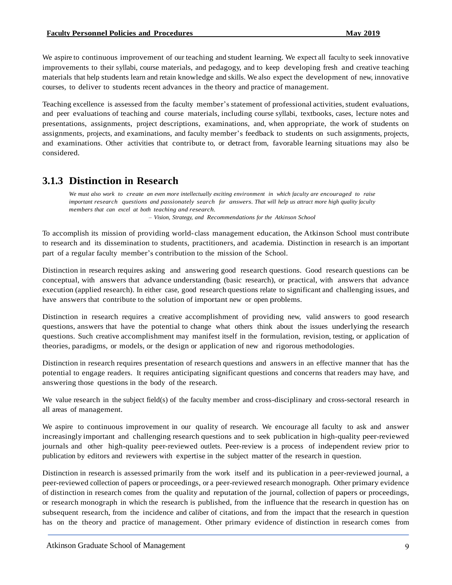We aspire to continuous improvement of our teaching and student learning. We expect all faculty to seek innovative improvements to their syllabi, course materials, and pedagogy, and to keep developing fresh and creative teaching materials that help students learn and retain knowledge and skills. We also expect the development of new, innovative courses, to deliver to students recent advances in the theory and practice of management.

Teaching excellence is assessed from the faculty member's statement of professional activities, student evaluations, and peer evaluations of teaching and course materials, including course syllabi, textbooks, cases, lecture notes and presentations, assignments, project descriptions, examinations, and, when appropriate, the work of students on assignments, projects, and examinations, and faculty member's feedback to students on such assignments, projects, and examinations. Other activities that contribute to, or detract from, favorable learning situations may also be considered.

## <span id="page-12-0"></span>**3.1.3 Distinction in Research**

We must also work to create an even more intellectually exciting environment in which faculty are encouraged to raise *important research questions and passionately search for answers. That will help us attract more high quality faculty members that can excel at both teaching and research.*

*– Vision, Strategy, and Recommendations for the Atkinson School*

To accomplish its mission of providing world- class management education, the Atkinson School must contribute to research and its dissemination to students, practitioners, and academia. Distinction in research is an important part of a regular faculty member's contribution to the mission of the School.

Distinction in research requires asking and answering good research questions. Good research questions can be conceptual, with answers that advance understanding (basic research), or practical, with answers that advance execution (applied research). In either case, good research questions relate to significant and challenging issues, and have answers that contribute to the solution of important new or open problems.

Distinction in research requires a creative accomplishment of providing new, valid answers to good research questions, answers that have the potential to change what others think about the issues underlying the research questions. Such creative accomplishment may manifest itself in the formulation, revision, testing, or application of theories, paradigms, or models, or the design or application of new and rigorous methodologies.

Distinction in research requires presentation of research questions and answers in an effective manner that has the potential to engage readers. It requires anticipating significant questions and concerns that readers may have, and answering those questions in the body of the research.

We value research in the subject field(s) of the faculty member and cross-disciplinary and cross-sectoral research in all areas of management.

We aspire to continuous improvement in our quality of research. We encourage all faculty to ask and answer increasingly important and challenging research questions and to seek publication in high-quality peer-reviewed journals and other high-quality peer-reviewed outlets. Peer-review is a process of independent review prior to publication by editors and reviewers with expertise in the subject matter of the research in question.

Distinction in research is assessed primarily from the work itself and its publication in a peer-reviewed journal, a peer-reviewed collection of papers or proceedings, or a peer-reviewed research monograph. Other primary evidence of distinction in research comes from the quality and reputation of the journal, collection of papers or proceedings, or research monograph in which the research is published, from the influence that the research in question has on subsequent research, from the incidence and caliber of citations, and from the impact that the research in question has on the theory and practice of management. Other primary evidence of distinction in research comes from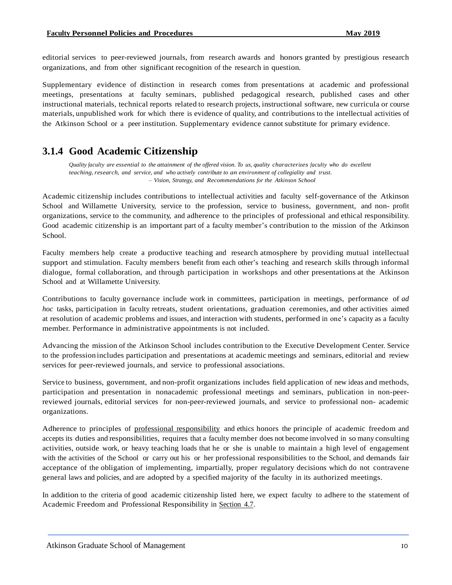editorial services to peer-reviewed journals, from research awards and honors granted by prestigious research organizations, and from other significant recognition of the research in question.

Supplementary evidence of distinction in research comes from presentations at academic and professional meetings, presentations at faculty seminars, published pedagogical research, published cases and other instructional materials, technical reports related to research projects, instructional software, new curricula or course materials, unpublished work for which there is evidence of quality, and contributions to the intellectual activities of the Atkinson School or a peer institution. Supplementary evidence cannot substitute for primary evidence.

## <span id="page-13-0"></span>**3.1.4 Good Academic Citizenship**

Quality faculty are essential to the attainment of the offered vision. To us, quality characterizes faculty who do excellent *teaching,research, and service, and who actively contribute to an environment of collegiality and trust. – Vision, Strategy, and Recommendations for the Atkinson School*

Academic citizenship includes contributions to intellectual activities and faculty self-governance of the Atkinson School and Willamette University, service to the profession, service to business, government, and non- profit organizations, service to the community, and adherence to the principles of professional and ethical responsibility. Good academic citizenship is an important part of a faculty member's contribution to the mission of the Atkinson School.

Faculty members help create a productive teaching and research atmosphere by providing mutual intellectual support and stimulation. Faculty members benefit from each other's teaching and research skills through informal dialogue, formal collaboration, and through participation in workshops and other presentations at the Atkinson School and at Willamette University.

Contributions to faculty governance include work in committees, participation in meetings, performance of *ad hoc* tasks, participation in faculty retreats, student orientations, graduation ceremonies, and other activities aimed at resolution of academic problems and issues, and interaction with students, performed in one's capacity as a faculty member. Performance in administrative appointments is not included.

Advancing the mission of the Atkinson School includes contribution to the Executive Development Center. Service to the profession includes participation and presentations at academic meetings and seminars, editorial and review services for peer-reviewed journals, and service to professional associations.

Service to business, government, and non-profit organizations includes field application of new ideas and methods, participation and presentation in nonacademic professional meetings and seminars, publication in non-peerreviewed journals, editorial services for non-peer-reviewed journals, and service to professional non- academic organizations.

Adherence to principles of professional [responsibility](#page-29-0) and ethics honors the principle of academic freedom and accepts its duties and responsibilities, requires that a faculty member does not become involved in so many consulting activities, outside work, or heavy teaching loads that he or she is unable to maintain a high level of engagement with the activities of the School or carry out his or her professional responsibilities to the School, and demands fair acceptance of the obligation of implementing, impartially, proper regulatory decisions which do not contravene general laws and policies, and are adopted by a specified majority of the faculty in its authorized meetings.

In addition to the criteria of good academic citizenship listed here, we expect faculty to adhere to the statement of Academic Freedom and Professional Responsibility in [Section](#page-28-0) 4.7.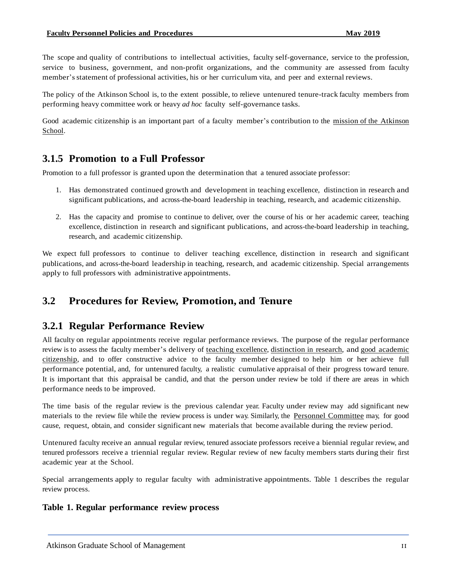The scope and quality of contributions to intellectual activities, faculty self-governance, service to the profession, service to business, government, and non-profit organizations, and the community are assessed from faculty member'sstatement of professional activities, his or her curriculum vita, and peer and external reviews.

The policy of the Atkinson School is, to the extent possible, to relieve untenured tenure-track faculty members from performing heavy committee work or heavy *ad hoc* faculty self-governance tasks.

Good academic citizenship is an important part of a faculty member's contribution to the mission of the [Atkinson](#page-4-2) [School.](#page-4-2)

## <span id="page-14-0"></span>**3.1.5 Promotion to a Full Professor**

Promotion to a full professor is granted upon the determination that a tenured associate professor:

- 1. Has demonstrated continued growth and development in teaching excellence, distinction in research and significant publications, and across-the-board leadership in teaching, research, and academic citizenship.
- 2. Has the capacity and promise to continue to deliver, over the course of his or her academic career, teaching excellence, distinction in research and significant publications, and across-the-board leadership in teaching, research, and academic citizenship.

We expect full professors to continue to deliver teaching excellence, distinction in research and significant publications, and across-the-board leadership in teaching, research, and academic citizenship. Special arrangements apply to full professors with administrative appointments.

## <span id="page-14-1"></span>**3.2 Procedures for Review, Promotion, and Tenure**

## **3.2.1 Regular Performance Review**

All faculty on regular appointments receive regular performance reviews. The purpose of the regular performance review is to assess the faculty member's delivery of teaching [excellence,](#page-11-2) [distinction](#page-12-0) in research, and good [academic](#page-13-0) [citizenship,](#page-13-0) and to offer constructive advice to the faculty member designed to help him or her achieve full performance potential, and, for untenured faculty, a realistic cumulative appraisal of their progress toward tenure. It is important that this appraisal be candid, and that the person under review be told if there are areas in which performance needs to be improved.

The time basis of the regular review is the previous calendar year. Faculty under review may add significant new materials to the review file while the review process is under way. Similarly, the Personnel [Committee](#page-7-4) may, for good cause, request, obtain, and consider significant new materials that become available during the review period.

Untenured faculty receive an annual regular review, tenured associate professors receive a biennial regular review, and tenured professors receive a triennial regular review. Regular review of new faculty members starts during their first academic year at the School.

Special arrangements apply to regular faculty with administrative appointments. Table 1 describes the regular review process.

#### **Table 1. Regular performance review process**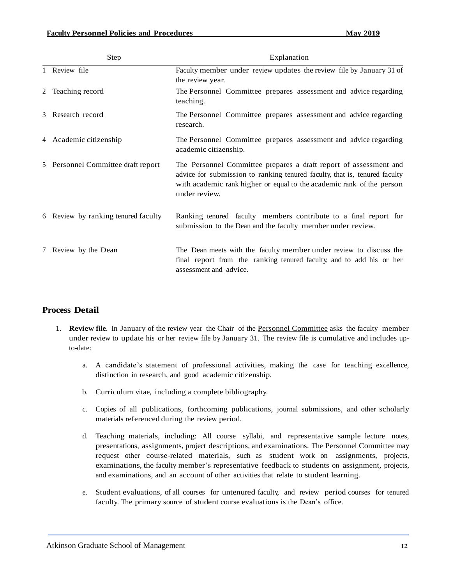|   | Step                                | Explanation                                                                                                                                                                                                                               |
|---|-------------------------------------|-------------------------------------------------------------------------------------------------------------------------------------------------------------------------------------------------------------------------------------------|
|   | 1 Review file                       | Faculty member under review updates the review file by January 31 of<br>the review year.                                                                                                                                                  |
|   | 2 Teaching record                   | The Personnel Committee prepares assessment and advice regarding<br>teaching.                                                                                                                                                             |
| 3 | Research record                     | The Personnel Committee prepares assessment and advice regarding<br>research.                                                                                                                                                             |
|   | 4 Academic citizenship              | The Personnel Committee prepares assessment and advice regarding<br>academic citizenship.                                                                                                                                                 |
|   | 5 Personnel Committee draft report  | The Personnel Committee prepares a draft report of assessment and<br>advice for submission to ranking tenured faculty, that is, tenured faculty<br>with academic rank higher or equal to the academic rank of the person<br>under review. |
|   | 6 Review by ranking tenured faculty | Ranking tenured faculty members contribute to a final report for<br>submission to the Dean and the faculty member under review.                                                                                                           |
|   | 7 Review by the Dean                | The Dean meets with the faculty member under review to discuss the<br>final report from the ranking tenured faculty, and to add his or her<br>assessment and advice.                                                                      |

#### **Process Detail**

- 1. **Review file**. In January of the review year the Chair of the Personnel [Committee](#page-7-4) asks the faculty member under review to update his or her review file by January 31. The review file is cumulative and includes upto-date:
	- a. A candidate's statement of professional activities, making the case for teaching excellence, distinction in research, and good academic citizenship.
	- b. Curriculum vitae, including a complete bibliography.
	- c. Copies of all publications, forthcoming publications, journal submissions, and other scholarly materials referenced during the review period.
	- d. Teaching materials, including: All course syllabi, and representative sample lecture notes, presentations, assignments, project descriptions, and examinations. The Personnel Committee may request other course-related materials, such as student work on assignments, projects, examinations, the faculty member's representative feedback to students on assignment, projects, and examinations, and an account of other activities that relate to student learning.
	- e. Student evaluations, of all courses for untenured faculty, and review period courses for tenured faculty. The primary source of student course evaluations is the Dean's office.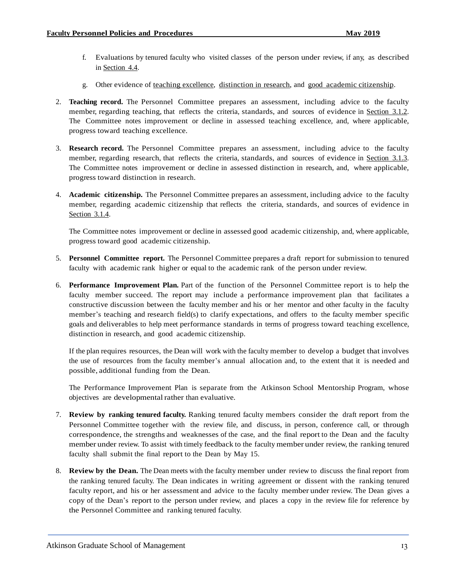- f. Evaluations by tenured faculty who visited classes of the person under review, if any, as described in [Section](#page-25-0) 4.4.
- g. Other evidence of teaching [excellence,](#page-11-2) [distinction](#page-12-0) in research, and good academic [citizenship.](#page-13-0)
- 2. **Teaching record.** The Personnel Committee prepares an assessment, including advice to the faculty member, regarding teaching, that reflects the criteria, standards, and sources of evidence in [Section](#page-11-2) 3.1.2. The Committee notes improvement or decline in assessed teaching excellence, and, where applicable, progress toward teaching excellence.
- 3. **Research record.** The Personnel Committee prepares an assessment, including advice to the faculty member, regarding research, that reflects the criteria, standards, and sources of evidence in [Section](#page-12-0) 3.1.3. The Committee notes improvement or decline in assessed distinction in research, and, where applicable, progress toward distinction in research.
- 4. **Academic citizenship.** The Personnel Committee prepares an assessment, including advice to the faculty member, regarding academic citizenship that reflects the criteria, standards, and sources of evidence in [Section](#page-13-0) 3.1.4.

The Committee notes improvement or decline in assessed good academic citizenship, and, where applicable, progress toward good academic citizenship.

- 5. **Personnel Committee report.** The Personnel Committee prepares a draft report for submission to tenured faculty with academic rank higher or equal to the academic rank of the person under review.
- 6. **Performance Improvement Plan.** Part of the function of the Personnel Committee report is to help the faculty member succeed. The report may include a performance improvement plan that facilitates a constructive discussion between the faculty member and his or her mentor and other faculty in the faculty member's teaching and research field(s) to clarify expectations, and offers to the faculty member specific goals and deliverables to help meet performance standards in terms of progress toward teaching excellence, distinction in research, and good academic citizenship.

If the plan requires resources, the Dean will work with the faculty member to develop a budget that involves the use of resources from the faculty member's annual allocation and, to the extent that it is needed and possible, additional funding from the Dean.

The Performance Improvement Plan is separate from the Atkinson School Mentorship Program, whose objectives are developmental rather than evaluative.

- 7. **Review by ranking tenured faculty.** Ranking tenured faculty members consider the draft report from the Personnel Committee together with the review file, and discuss, in person, conference call, or through correspondence, the strengths and weaknesses of the case, and the final reportto the Dean and the faculty member under review. To assist with timely feedback to the faculty member under review, the ranking tenured faculty shall submit the final report to the Dean by May 15.
- 8. **Review by the Dean.** The Dean meets with the faculty member under review to discuss the final report from the ranking tenured faculty. The Dean indicates in writing agreement or dissent with the ranking tenured faculty report, and his or her assessment and advice to the faculty member under review. The Dean gives a copy of the Dean's report to the person under review, and places a copy in the review file for reference by the Personnel Committee and ranking tenured faculty.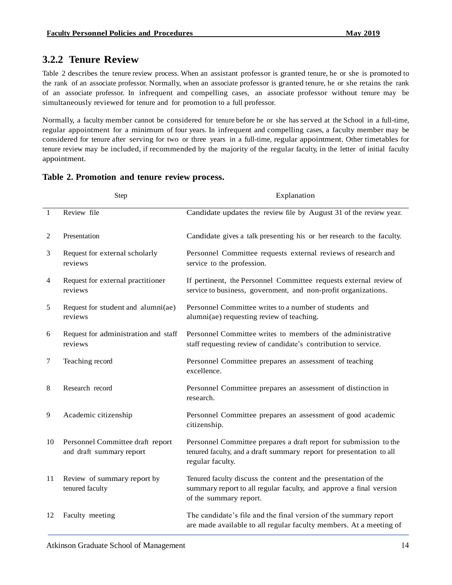## <span id="page-17-0"></span>**3.2.2 Tenure Review**

Table 2 describes the tenure review process. When an assistant professor is granted tenure, he or she is promoted to the rank of an associate professor. Normally, when an associate professor is granted tenure, he or she retains the rank of an associate professor. In infrequent and compelling cases, an associate professor without tenure may be simultaneously reviewed for tenure and for promotion to a full professor.

Normally, a faculty member cannot be considered for tenure before he or she has served at the School in a full-time, regular appointment for a minimum of four years. In infrequent and compelling cases, a faculty member may be considered for tenure after serving for two or three years in a full-time, regular appointment. Other timetables for tenure review may be included, if recommended by the majority of the regular faculty, in the letter of initial faculty appointment.

|         | Step                                                         | Explanation                                                                                                                                                     |
|---------|--------------------------------------------------------------|-----------------------------------------------------------------------------------------------------------------------------------------------------------------|
| 1       | Review file                                                  | Candidate updates the review file by August 31 of the review year.                                                                                              |
| 2       | Presentation                                                 | Candidate gives a talk presenting his or her research to the faculty.                                                                                           |
| 3       | Request for external scholarly<br>reviews                    | Personnel Committee requests external reviews of research and<br>service to the profession.                                                                     |
| 4       | Request for external practitioner<br>reviews                 | If pertinent, the Personnel Committee requests external review of<br>service to business, government, and non-profit organizations.                             |
| 5       | Request for student and alumni(ae)<br>reviews                | Personnel Committee writes to a number of students and<br>alumni(ae) requesting review of teaching.                                                             |
| 6       | Request for administration and staff<br>reviews              | Personnel Committee writes to members of the administrative<br>staff requesting review of candidate's contribution to service.                                  |
| $\tau$  | Teaching record                                              | Personnel Committee prepares an assessment of teaching<br>excellence.                                                                                           |
| $\,8\,$ | Research record                                              | Personnel Committee prepares an assessment of distinction in<br>research.                                                                                       |
| 9       | Academic citizenship                                         | Personnel Committee prepares an assessment of good academic<br>citizenship.                                                                                     |
| 10      | Personnel Committee draft report<br>and draft summary report | Personnel Committee prepares a draft report for submission to the<br>tenured faculty, and a draft summary report for presentation to all<br>regular faculty.    |
| 11      | Review of summary report by<br>tenured faculty               | Tenured faculty discuss the content and the presentation of the<br>summary report to all regular faculty, and approve a final version<br>of the summary report. |
| 12      | Faculty meeting                                              | The candidate's file and the final version of the summary report<br>are made available to all regular faculty members. At a meeting of                          |

#### **Table 2. Promotion and tenure review process.**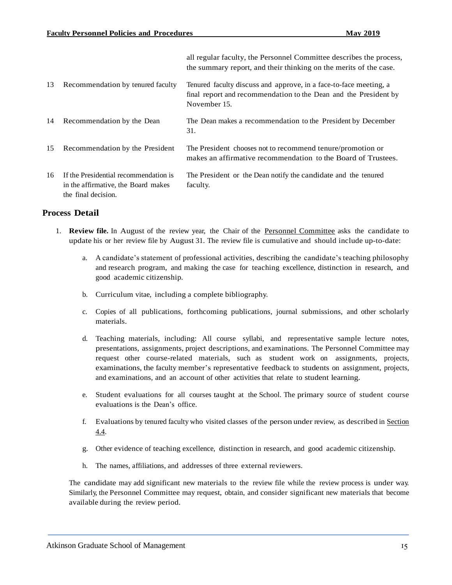all regular faculty, the Personnel Committee describes the process, the summary report, and their thinking on the merits of the case. 13 Recommendation by tenured faculty Tenured faculty discuss and approve, in a face-to-face meeting, a final report and recommendation to the Dean and the President by November 15. 14 Recommendation by the Dean The Dean makes a recommendation to the President by December 31. 15 Recommendation by the President The President chooses not to recommend tenure/promotion or makes an affirmative recommendation to the Board of Trustees. 16 If the Presidential recommendation is in the affirmative, the Board makes the final decision. The President or the Dean notify the candidate and the tenured faculty.

#### **Process Detail**

- 1. **Review file.** In August of the review year, the Chair of the Personnel [Committee](#page-7-4) asks the candidate to update his or her review file by August 31. The review file is cumulative and should include up-to-date:
	- a. A candidate's statement of professional activities, describing the candidate's teaching philosophy and research program, and making the case for teaching excellence, distinction in research, and good academic citizenship.
	- b. Curriculum vitae, including a complete bibliography.
	- c. Copies of all publications, forthcoming publications, journal submissions, and other scholarly materials.
	- d. Teaching materials, including: All course syllabi, and representative sample lecture notes, presentations, assignments, project descriptions, and examinations. The Personnel Committee may request other course-related materials, such as student work on assignments, projects, examinations, the faculty member's representative feedback to students on assignment, projects, and examinations, and an account of other activities that relate to student learning.
	- e. Student evaluations for all courses taught at the School. The primary source of student course evaluations is the Dean's office.
	- f. Evaluations by tenured faculty who visited classes of the person under review, as described in [Section](#page-25-0) [4.4.](#page-25-0)
	- g. Other evidence of teaching excellence, distinction in research, and good academic citizenship.
	- h. The names, affiliations, and addresses of three external reviewers.

The candidate may add significant new materials to the review file while the review process is under way. Similarly, the Personnel Committee may request, obtain, and consider significant new materials that become available during the review period.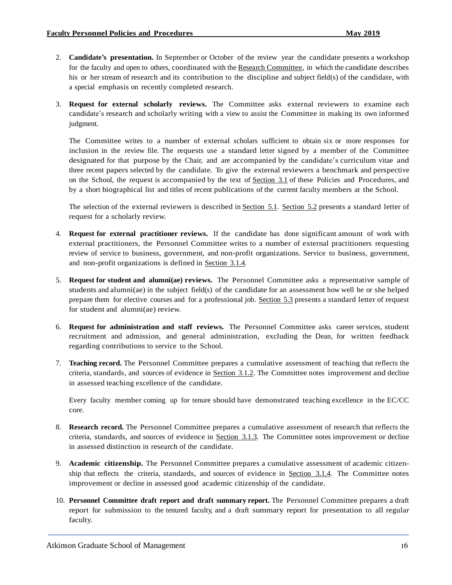- 2. **Candidate's presentation.** In September or October of the review year the candidate presents a workshop for the faculty and open to others, coordinated with the Research [Committee,](#page-9-1) in which the candidate describes his or her stream of research and its contribution to the discipline and subject field(s) of the candidate, with a special emphasis on recently completed research.
- 3. **Request for external scholarly reviews.** The Committee asks external reviewers to examine each candidate's research and scholarly writing with a view to assist the Committee in making its own informed judgment.

The Committee writes to a number of external scholars sufficient to obtain six or more responses for inclusion in the review file. The requests use a standard letter signed by a member of the Committee designated for that purpose by the Chair, and are accompanied by the candidate's curriculum vitae and three recent papers selected by the candidate. To give the external reviewers a benchmark and perspective on the School, the request is accompanied by the text of [Section](#page-11-0) 3.1 of these Policies and Procedures, and by a short biographical list and titles of recent publications of the current faculty members at the School.

The selection of the external reviewers is described i[n Section](#page-33-0) 5.1. [Section](#page-33-1) 5.2 presents a standard letter of request for a scholarly review.

- 4. **Request for external practitioner reviews.** If the candidate has done significant amount of work with external practitioners, the Personnel Committee writes to a number of external practitioners requesting review of service to business, government, and non-profit organizations. Service to business, government, and non-profit organizations is defined in [Section](#page-13-0) 3.1.4.
- 5. **Request for student and alumni(ae) reviews.** The Personnel Committee asks a representative sample of students and alumni(ae) in the subject field(s) of the candidate for an assessment how well he or she helped prepare them for elective courses and for a professional job. [Section](#page-34-0) 5.3 presents a standard letter of request for student and alumni(ae) review.
- 6. **Request for administration and staff reviews.** The Personnel Committee asks career services, student recruitment and admission, and general administration, excluding the Dean, for written feedback regarding contributions to service to the School.
- 7. **Teaching record.** The Personnel Committee prepares a cumulative assessment of teaching that reflects the criteria, standards, and sources of evidence in **[Section](#page-11-2) 3.1.2**. The Committee notes improvement and decline in assessed teaching excellence of the candidate.

Every faculty member coming up for tenure should have demonstrated teaching excellence in the EC/CC core.

- 8. **Research record.** The Personnel Committee prepares a cumulative assessment of research that reflects the criteria, standards, and sources of evidence in [Section](#page-12-0) 3.1.3. The Committee notes improvement or decline in assessed distinction in research of the candidate.
- 9. **Academic citizenship.** The Personnel Committee prepares a cumulative assessment of academic citizenship that reflects the criteria, standards, and sources of evidence in [Section](#page-13-0) 3.1.4. The Committee notes improvement or decline in assessed good academic citizenship of the candidate.
- 10. **Personnel Committee draft report and draft summary report.** The Personnel Committee prepares a draft report for submission to the tenured faculty, and a draft summary report for presentation to all regular faculty.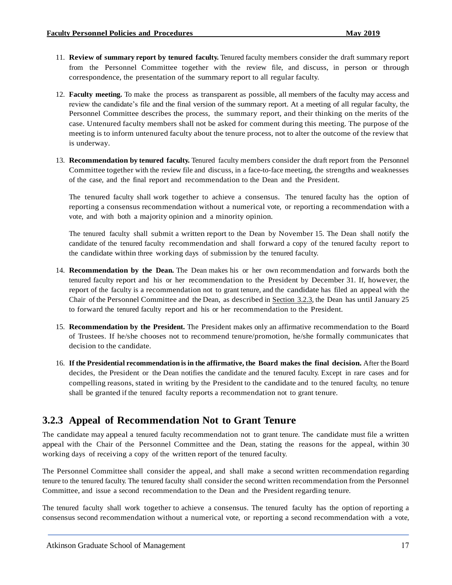- 11. **Review of summary report by tenured faculty.** Tenured faculty members consider the draft summary report from the Personnel Committee together with the review file, and discuss, in person or through correspondence, the presentation of the summary report to all regular faculty.
- 12. **Faculty meeting.** To make the process as transparent as possible, all members of the faculty may access and review the candidate's file and the final version of the summary report. At a meeting of all regular faculty, the Personnel Committee describes the process, the summary report, and their thinking on the merits of the case. Untenured faculty members shall not be asked for comment during this meeting. The purpose of the meeting is to inform untenured faculty about the tenure process, not to alter the outcome of the review that is underway.
- 13. **Recommendation by tenured faculty.** Tenured faculty members consider the draft report from the Personnel Committee together with the review file and discuss, in a face-to-face meeting, the strengths and weaknesses of the case, and the final report and recommendation to the Dean and the President.

The tenured faculty shall work together to achieve a consensus. The tenured faculty has the option of reporting a consensus recommendation without a numerical vote, or reporting a recommendation with a vote, and with both a majority opinion and a minority opinion.

The tenured faculty shall submit a written report to the Dean by November 15. The Dean shall notify the candidate of the tenured faculty recommendation and shall forward a copy of the tenured faculty report to the candidate within three working days of submission by the tenured faculty.

- 14. **Recommendation by the Dean.** The Dean makes his or her own recommendation and forwards both the tenured faculty report and his or her recommendation to the President by December 31. If, however, the report of the faculty is a recommendation not to grant tenure, and the candidate has filed an appeal with the Chair of the Personnel Committee and the Dean, as described in [Section](#page-20-0) 3.2.3, the Dean has until January 25 to forward the tenured faculty report and his or her recommendation to the President.
- 15. **Recommendation by the President.** The President makes only an affirmative recommendation to the Board of Trustees. If he/she chooses not to recommend tenure/promotion, he/she formally communicates that decision to the candidate.
- 16. **If the Presidential recommendation is in the affirmative, the Board makes the final decision.** After the Board decides, the President or the Dean notifies the candidate and the tenured faculty. Except in rare cases and for compelling reasons, stated in writing by the President to the candidate and to the tenured faculty, no tenure shall be granted if the tenured faculty reports a recommendation not to grant tenure.

## <span id="page-20-0"></span>**3.2.3 Appeal of Recommendation Not to Grant Tenure**

The candidate may appeal a tenured faculty recommendation not to grant tenure. The candidate must file a written appeal with the Chair of the Personnel Committee and the Dean, stating the reasons for the appeal, within 30 working days of receiving a copy of the written report of the tenured faculty.

The Personnel Committee shall consider the appeal, and shall make a second written recommendation regarding tenure to the tenured faculty. The tenured faculty shall consider the second written recommendation from the Personnel Committee, and issue a second recommendation to the Dean and the President regarding tenure.

The tenured faculty shall work together to achieve a consensus. The tenured faculty has the option of reporting a consensus second recommendation without a numerical vote, or reporting a second recommendation with a vote,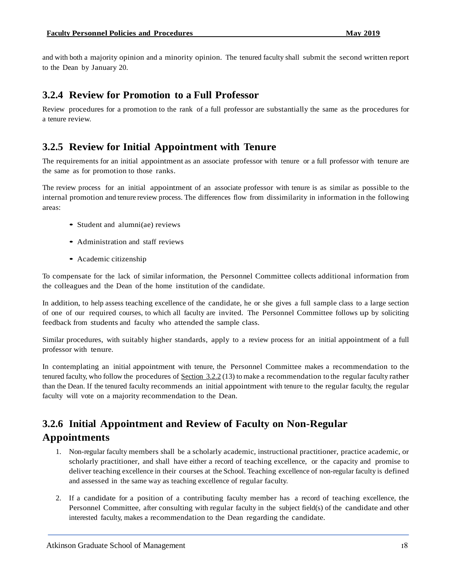and with both a majority opinion and a minority opinion. The tenured faculty shall submit the second written report to the Dean by January 20.

#### <span id="page-21-0"></span>**3.2.4 Review for Promotion to a Full Professor**

Review procedures for a promotion to the rank of a full professor are substantially the same as the procedures for a tenure review.

## <span id="page-21-1"></span>**3.2.5 Review for Initial Appointment with Tenure**

The requirements for an initial appointment as an associate professor with tenure or a full professor with tenure are the same as for promotion to those ranks.

The review process for an initial appointment of an associate professor with tenure is as similar as possible to the internal promotion and tenure review process. The differences flow from dissimilarity in information in the following areas:

- Student and alumni(ae) reviews
- Administration and staff reviews
- Academic citizenship

To compensate for the lack of similar information, the Personnel Committee collects additional information from the colleagues and the Dean of the home institution of the candidate.

In addition, to help assess teaching excellence of the candidate, he or she gives a full sample class to a large section of one of our required courses, to which all faculty are invited. The Personnel Committee follows up by soliciting feedback from students and faculty who attended the sample class.

Similar procedures, with suitably higher standards, apply to a review process for an initial appointment of a full professor with tenure.

In contemplating an initial appointment with tenure, the Personnel Committee makes a recommendation to the tenured faculty, who follow the procedures of [Section](#page-17-0) 3.2.2 (13) to make a recommendation to the regular faculty rather than the Dean. If the tenured faculty recommends an initial appointment with tenure to the regular faculty, the regular faculty will vote on a majority recommendation to the Dean.

## <span id="page-21-2"></span>**3.2.6 Initial Appointment and Review of Faculty on Non-Regular Appointments**

- 1. Non-regular faculty members shall be a scholarly academic, instructional practitioner, practice academic, or scholarly practitioner, and shall have either a record of teaching excellence, or the capacity and promise to deliver teaching excellence in their courses at the School. Teaching excellence of non-regular faculty is defined and assessed in the same way as teaching excellence of regular faculty.
- 2. If a candidate for a position of a contributing faculty member has a record of teaching excellence, the Personnel Committee, after consulting with regular faculty in the subject field(s) of the candidate and other interested faculty, makes a recommendation to the Dean regarding the candidate.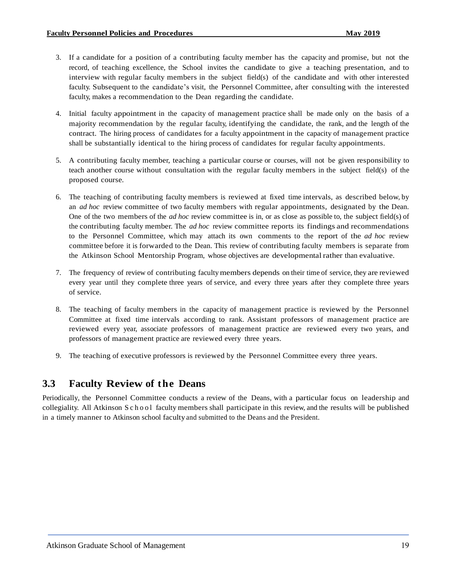- 3. If a candidate for a position of a contributing faculty member has the capacity and promise, but not the record, of teaching excellence, the School invites the candidate to give a teaching presentation, and to interview with regular faculty members in the subject field(s) of the candidate and with other interested faculty. Subsequent to the candidate's visit, the Personnel Committee, after consulting with the interested faculty, makes a recommendation to the Dean regarding the candidate.
- 4. Initial faculty appointment in the capacity of management practice shall be made only on the basis of a majority recommendation by the regular faculty, identifying the candidate, the rank, and the length of the contract. The hiring process of candidates for a faculty appointment in the capacity of management practice shall be substantially identical to the hiring process of candidates for regular faculty appointments.
- 5. A contributing faculty member, teaching a particular course or courses, will not be given responsibility to teach another course without consultation with the regular faculty members in the subject field(s) of the proposed course.
- 6. The teaching of contributing faculty members is reviewed at fixed time intervals, as described below, by an *ad hoc* review committee of two faculty members with regular appointments, designated by the Dean. One of the two members of the *ad hoc* review committee is in, or as close as possible to, the subject field(s) of the contributing faculty member. The *ad hoc* review committee reports its findings and recommendations to the Personnel Committee, which may attach its own comments to the report of the *ad hoc* review committee before it is forwarded to the Dean. This review of contributing faculty members is separate from the Atkinson School Mentorship Program, whose objectives are developmental rather than evaluative.
- 7. The frequency of review of contributing faculty members depends on their time of service,they are reviewed every year until they complete three years of service, and every three years after they complete three years of service.
- 8. The teaching of faculty members in the capacity of management practice is reviewed by the Personnel Committee at fixed time intervals according to rank. Assistant professors of management practice are reviewed every year, associate professors of management practice are reviewed every two years, and professors of management practice are reviewed every three years.
- 9. The teaching of executive professors is reviewed by the Personnel Committee every three years.

## <span id="page-22-0"></span>**3.3 Faculty Review of the Deans**

Periodically, the Personnel Committee conducts a review of the Deans, with a particular focus on leadership and collegiality. All Atkinson S c h o o l faculty members shall participate in this review, and the results will be published in a timely manner to Atkinson school faculty and submitted to the Deans and the President.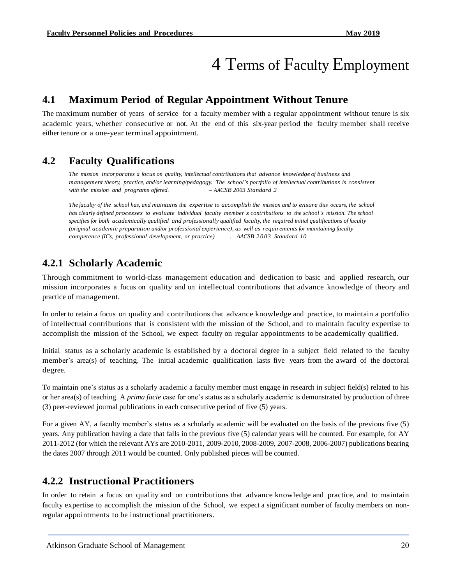## 4 Terms of Faculty Employment

## <span id="page-23-0"></span>**4.1 Maximum Period of Regular Appointment Without Tenure**

The maximum number of years of service for a faculty member with a regular appointment without tenure is six academic years, whether consecutive or not. At the end of this six-year period the faculty member shall receive either tenure or a one-year terminal appointment.

## <span id="page-23-1"></span>**4.2 Faculty Qualifications**

*The mission incorporates a focus on quality, intellectual contributions that advance knowledge of business and management theory, practice, and/or learning/pedagogy. The school's portfolio of intellectual contributions is consistent with the mission and programs offered. – AACSB 2003 Standard 2*

The faculty of the school has, and maintains the expertise to accomplish the mission and to ensure this occurs, the school *has clearly defined processes to evaluate individual faculty member's contributions to the school's mission. The school* specifies for both academically qualified and professionally qualified faculty, the required initial qualifications of faculty *(original academic preparation and/or professional experience), as well as requirements for maintaining faculty competence (ICs, professional development, or practice) .– AACSB 2 0 03 Standard 10*

## <span id="page-23-2"></span>**4.2.1 Scholarly Academic**

Through commitment to world-class management education and dedication to basic and applied research, our mission incorporates a focus on quality and on intellectual contributions that advance knowledge of theory and practice of management.

In order to retain a focus on quality and contributions that advance knowledge and practice, to maintain a portfolio of intellectual contributions that is consistent with the mission of the School, and to maintain faculty expertise to accomplish the mission of the School, we expect faculty on regular appointments to be academically qualified.

Initial status as a scholarly academic is established by a doctoral degree in a subject field related to the faculty member's area(s) of teaching. The initial academic qualification lasts five years from the award of the doctoral degree.

To maintain one's status as a scholarly academic a faculty member must engage in research in subject field(s) related to his or her area(s) of teaching. A *prima facie* case for one's status as a scholarly academic is demonstrated by production of three (3) peer-reviewed journal publications in each consecutive period of five (5) years.

For a given AY, a faculty member's status as a scholarly academic will be evaluated on the basis of the previous five (5) years. Any publication having a date that falls in the previous five (5) calendar years will be counted. For example, for AY 2011-2012 (for which the relevant AYs are 2010-2011, 2009-2010, 2008-2009, 2007-2008, 2006-2007) publications bearing the dates 2007 through 2011 would be counted. Only published pieces will be counted.

## <span id="page-23-3"></span>**4.2.2 Instructional Practitioners**

In order to retain a focus on quality and on contributions that advance knowledge and practice, and to maintain faculty expertise to accomplish the mission of the School, we expect a significant number of faculty members on nonregular appointments to be instructional practitioners.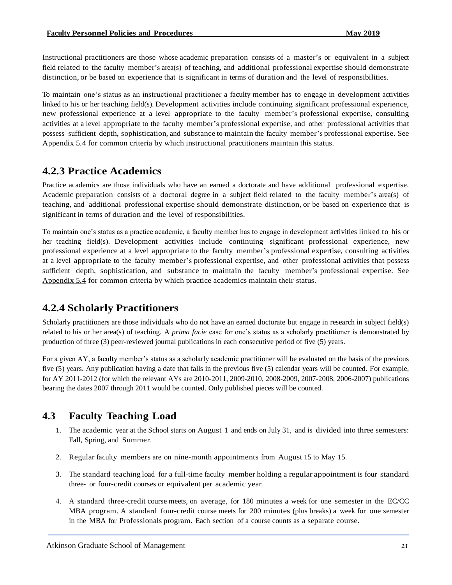Instructional practitioners are those whose academic preparation consists of a master's or equivalent in a subject field related to the faculty member's area(s) of teaching, and additional professional expertise should demonstrate distinction, or be based on experience that is significant in terms of duration and the level of responsibilities.

To maintain one's status as an instructional practitioner a faculty member has to engage in development activities linked to his or her teaching field(s). Development activities include continuing significant professional experience, new professional experience at a level appropriate to the faculty member's professional expertise, consulting activities at a level appropriate to the faculty member's professional expertise, and other professional activities that possess sufficient depth, sophistication, and substance to maintain the faculty member's professional expertise. See Appendix 5.4 for common criteria by which instructional practitioners maintain this status.

## <span id="page-24-0"></span>**4.2.3 Practice Academics**

Practice academics are those individuals who have an earned a doctorate and have additional professional expertise. Academic preparation consists of a doctoral degree in a subject field related to the faculty member's area(s) of teaching, and additional professional expertise should demonstrate distinction, or be based on experience that is significant in terms of duration and the level of responsibilities.

To maintain one's status as a practice academic, a faculty member has to engage in development activities linked to his or her teaching field(s). Development activities include continuing significant professional experience, new professional experience at a level appropriate to the faculty member's professional expertise, consulting activities at a level appropriate to the faculty member's professional expertise, and other professional activities that possess sufficient depth, sophistication, and substance to maintain the faculty member's professional expertise. See [Appendix 5.4](#page-35-0) for common criteria by which practice academics maintain their status.

## <span id="page-24-1"></span>**4.2.4 Scholarly Practitioners**

Scholarly practitioners are those individuals who do not have an earned doctorate but engage in research in subject field(s) related to his or her area(s) of teaching. A *prima facie* case for one's status as a scholarly practitioner is demonstrated by production of three (3) peer-reviewed journal publications in each consecutive period of five (5) years.

For a given AY, a faculty member's status as a scholarly academic practitioner will be evaluated on the basis of the previous five (5) years. Any publication having a date that falls in the previous five (5) calendar years will be counted. For example, for AY 2011-2012 (for which the relevant AYs are 2010-2011, 2009-2010, 2008-2009, 2007-2008, 2006-2007) publications bearing the dates 2007 through 2011 would be counted. Only published pieces will be counted.

## <span id="page-24-2"></span>**4.3 Faculty Teaching Load**

- 1. The academic year at the School starts on August 1 and ends on July 31, and is divided into three semesters: Fall, Spring, and Summer.
- 2. Regular faculty members are on nine-month appointments from August 15 to May 15.
- 3. The standard teaching load for a full-time faculty member holding a regular appointment is four standard three- or four-credit courses or equivalent per academic year.
- 4. A standard three-credit course meets, on average, for 180 minutes a week for one semester in the EC/CC MBA program. A standard four-credit course meets for 200 minutes (plus breaks) a week for one semester in the MBA for Professionals program. Each section of a course counts as a separate course.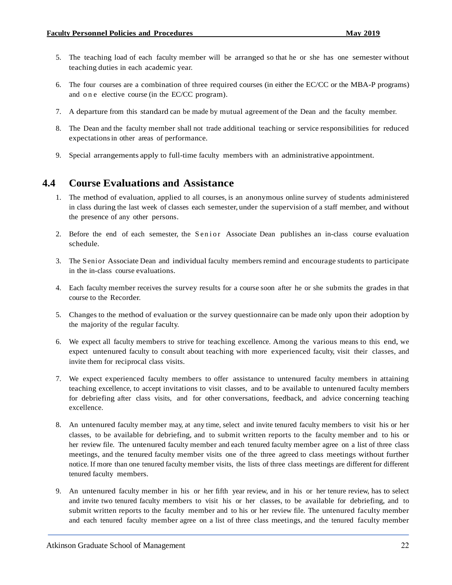- 5. The teaching load of each faculty member will be arranged so that he or she has one semester without teaching duties in each academic year.
- 6. The four courses are a combination of three required courses (in either the EC/CC or the MBA-P programs) and one elective course (in the EC/CC program).
- 7. A departure from this standard can be made by mutual agreement of the Dean and the faculty member.
- 8. The Dean and the faculty member shall not trade additional teaching or service responsibilities for reduced expectationsin other areas of performance.
- 9. Special arrangements apply to full-time faculty members with an administrative appointment.

## <span id="page-25-0"></span>**4.4 Course Evaluations and Assistance**

- 1. The method of evaluation, applied to all courses, is an anonymous online survey of students administered in class during the last week of classes each semester, under the supervision of a staff member, and without the presence of any other persons.
- 2. Before the end of each semester, the S enior Associate Dean publishes an in-class course evaluation schedule.
- 3. The Senior Associate Dean and individual faculty members remind and encourage students to participate in the in-class course evaluations.
- 4. Each faculty member receives the survey results for a course soon after he or she submits the grades in that course to the Recorder.
- 5. Changes to the method of evaluation or the survey questionnaire can be made only upon their adoption by the majority of the regular faculty.
- 6. We expect all faculty members to strive for teaching excellence. Among the various means to this end, we expect untenured faculty to consult about teaching with more experienced faculty, visit their classes, and invite them for reciprocal class visits.
- 7. We expect experienced faculty members to offer assistance to untenured faculty members in attaining teaching excellence, to accept invitations to visit classes, and to be available to untenured faculty members for debriefing after class visits, and for other conversations, feedback, and advice concerning teaching excellence.
- 8. An untenured faculty member may, at any time, select and invite tenured faculty members to visit his or her classes, to be available for debriefing, and to submit written reports to the faculty member and to his or her review file. The untenured faculty member and each tenured faculty member agree on a list of three class meetings, and the tenured faculty member visits one of the three agreed to class meetings without further notice. If more than one tenured faculty member visits, the lists of three class meetings are different for different tenured faculty members.
- 9. An untenured faculty member in his or her fifth year review, and in his or her tenure review, has to select and invite two tenured faculty members to visit his or her classes, to be available for debriefing, and to submit written reports to the faculty member and to his or her review file. The untenured faculty member and each tenured faculty member agree on a list of three class meetings, and the tenured faculty member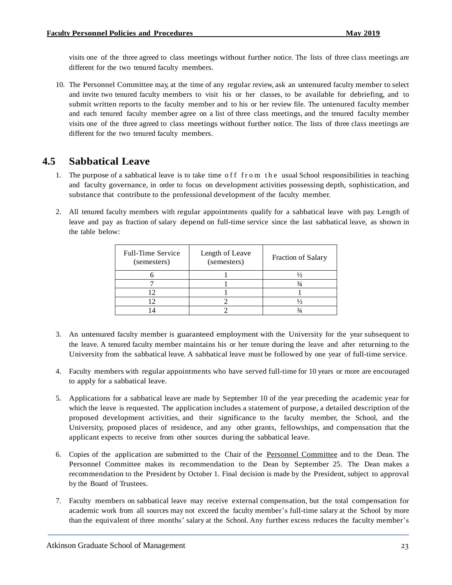visits one of the three agreed to class meetings without further notice. The lists of three class meetings are different for the two tenured faculty members.

10. The Personnel Committee may, at the time of any regular review, ask an untenured faculty member to select and invite two tenured faculty members to visit his or her classes, to be available for debriefing, and to submit written reports to the faculty member and to his or her review file. The untenured faculty member and each tenured faculty member agree on a list of three class meetings, and the tenured faculty member visits one of the three agreed to class meetings without further notice. The lists of three class meetings are different for the two tenured faculty members.

## <span id="page-26-0"></span>**4.5 Sabbatical Leave**

- 1. The purpose of a sabbatical leave is to take time off from the usual School responsibilities in teaching and faculty governance, in order to focus on development activities possessing depth, sophistication, and substance that contribute to the professional development of the faculty member.
- 2. All tenured faculty members with regular appointments qualify for a sabbatical leave with pay. Length of leave and pay as fraction of salary depend on full-time service since the last sabbatical leave, as shown in the table below:

| <b>Full-Time Service</b><br>(semesters) | Length of Leave<br>(semesters) | Fraction of Salary |
|-----------------------------------------|--------------------------------|--------------------|
|                                         |                                |                    |
|                                         |                                |                    |
|                                         |                                |                    |
|                                         |                                |                    |
|                                         |                                |                    |

- 3. An untenured faculty member is guaranteed employment with the University for the year subsequent to the leave. A tenured faculty member maintains his or her tenure during the leave and after returning to the University from the sabbatical leave. A sabbatical leave must be followed by one year of full-time service.
- 4. Faculty members with regular appointments who have served full-time for 10 years or more are encouraged to apply for a sabbatical leave.
- 5. Applications for a sabbatical leave are made by September 10 of the year preceding the academic year for which the leave is requested. The application includes a statement of purpose, a detailed description of the proposed development activities, and their significance to the faculty member, the School, and the University, proposed places of residence, and any other grants, fellowships, and compensation that the applicant expects to receive from other sources during the sabbatical leave.
- 6. Copies of the application are submitted to the Chair of the Personnel [Committee](#page-7-4) and to the Dean. The Personnel Committee makes its recommendation to the Dean by September 25. The Dean makes a recommendation to the President by October 1. Final decision is made by the President, subject to approval by the Board of Trustees.
- 7. Faculty members on sabbatical leave may receive external compensation, but the total compensation for academic work from all sources may not exceed the faculty member's full-time salary at the School by more than the equivalent of three months' salary at the School. Any further excess reduces the faculty member's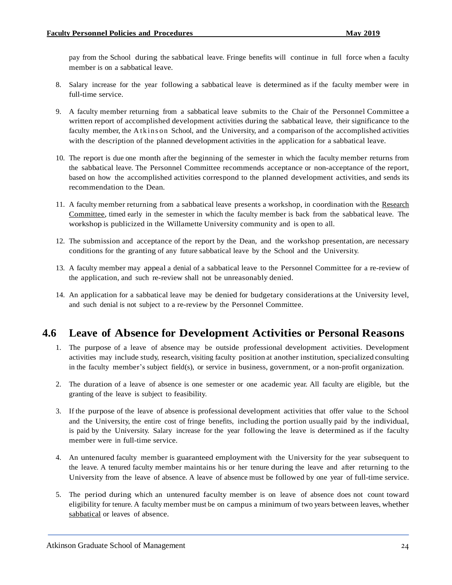pay from the School during the sabbatical leave. Fringe benefits will continue in full force when a faculty member is on a sabbatical leave.

- 8. Salary increase for the year following a sabbatical leave is determined as if the faculty member were in full-time service.
- 9. A faculty member returning from a sabbatical leave submits to the Chair of the Personnel Committee a written report of accomplished development activities during the sabbatical leave, their significance to the faculty member, the A tk ins on School, and the University, and a comparison of the accomplished activities with the description of the planned development activities in the application for a sabbatical leave.
- 10. The report is due one month after the beginning of the semester in which the faculty member returns from the sabbatical leave. The Personnel Committee recommends acceptance or non-acceptance of the report, based on how the accomplished activities correspond to the planned development activities, and sends its recommendation to the Dean.
- 11. A faculty member returning from a sabbatical leave presents a workshop, in coordination with the [Research](#page-9-1) [Committee,](#page-9-1) timed early in the semester in which the faculty member is back from the sabbatical leave. The workshop is publicized in the Willamette University community and is open to all.
- 12. The submission and acceptance of the report by the Dean, and the workshop presentation, are necessary conditions for the granting of any future sabbatical leave by the School and the University.
- 13. A faculty member may appeal a denial of a sabbatical leave to the Personnel Committee for a re-review of the application, and such re-review shall not be unreasonably denied.
- 14. An application for a sabbatical leave may be denied for budgetary considerations at the University level, and such denial is not subject to a re-review by the Personnel Committee.

## <span id="page-27-0"></span>**4.6 Leave of Absence for Development Activities or Personal Reasons**

- 1. The purpose of a leave of absence may be outside professional development activities. Development activities may include study, research, visiting faculty position at another institution, specialized consulting in the faculty member's subject field(s), or service in business, government, or a non-profit organization.
- 2. The duration of a leave of absence is one semester or one academic year. All faculty are eligible, but the granting of the leave is subject to feasibility.
- 3. If the purpose of the leave of absence is professional development activities that offer value to the School and the University, the entire cost of fringe benefits, including the portion usually paid by the individual, is paid by the University. Salary increase for the year following the leave is determined as if the faculty member were in full-time service.
- 4. An untenured faculty member is guaranteed employment with the University for the year subsequent to the leave. A tenured faculty member maintains his or her tenure during the leave and after returning to the University from the leave of absence. A leave of absence must be followed by one year of full-time service.
- 5. The period during which an untenured faculty member is on leave of absence does not count toward eligibility for tenure. A faculty member must be on campus a minimum of two years between leaves, whether [sabbatical](#page-26-0) or leaves of absence.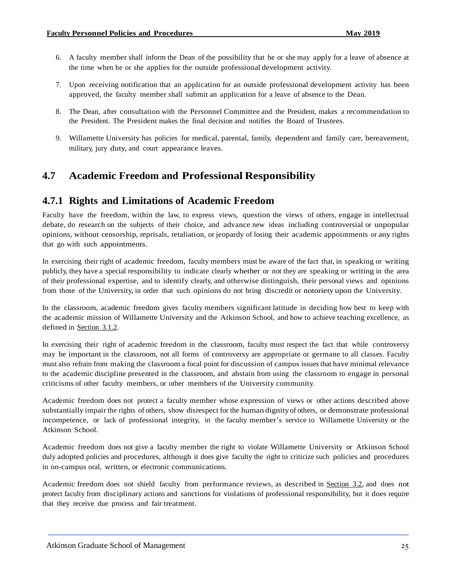- 6. A faculty member shall inform the Dean of the possibility that he or she may apply for a leave of absence at the time when he or she applies for the outside professional development activity.
- 7. Upon receiving notification that an application for an outside professional development activity has been approved, the faculty member shall submit an application for a leave of absence to the Dean.
- 8. The Dean, after consultation with the Personnel Committee and the President, makes a recommendation to the President. The President makes the final decision and notifies the Board of Trustees.
- 9. Willamette University has policies for medical, parental, family, dependent and family care, bereavement, military, jury duty, and court appearance leaves.

## <span id="page-28-0"></span>**4.7 Academic Freedom and Professional Responsibility**

## <span id="page-28-1"></span>**4.7.1 Rights and Limitations of Academic Freedom**

Faculty have the freedom, within the law, to express views, question the views of others, engage in intellectual debate, do research on the subjects of their choice, and advance new ideas including controversial or unpopular opinions, without censorship, reprisals, retaliation, or jeopardy of losing their academic appointments or any rights that go with such appointments.

In exercising their right of academic freedom, faculty members must be aware of the fact that, in speaking or writing publicly, they have a special responsibility to indicate clearly whether or not they are speaking or writing in the area of their professional expertise, and to identify clearly, and otherwise distinguish, their personal views and opinions from those of the University, in order that such opinions do not bring discredit or notoriety upon the University.

In the classroom, academic freedom gives faculty members significantlatitude in deciding how best to keep with the academic mission of Willamette University and the Atkinson School, and how to achieve teaching excellence, as defined in [Section](#page-11-2) 3.1.2.

In exercising their right of academic freedom in the classroom, faculty must respect the fact that while controversy may be important in the classroom, not all forms of controversy are appropriate or germane to all classes. Faculty must also refrain from making the classroom a focal point for discussion of campus issues that have minimal relevance to the academic discipline presented in the classroom, and abstain from using the classroom to engage in personal criticisms of other faculty members, or other members of the University community.

Academic freedom does not protect a faculty member whose expression of views or other actions described above substantially impair the rights of others, show disrespect for the human dignityof others, or demonstrate professional incompetence, or lack of professional integrity, in the faculty member's service to Willamette University or the Atkinson School.

Academic freedom does not give a faculty member the right to violate Willamette University or Atkinson School duly adopted policies and procedures, although it does give faculty the right to criticize such policies and procedures in on-campus oral, written, or electronic communications.

Academic freedom does not shield faculty from performance reviews, as described in [Section](#page-14-1) 3.2, and does not protect faculty from disciplinary actions and sanctions for violations of professional responsibility, but it does require that they receive due process and fair treatment.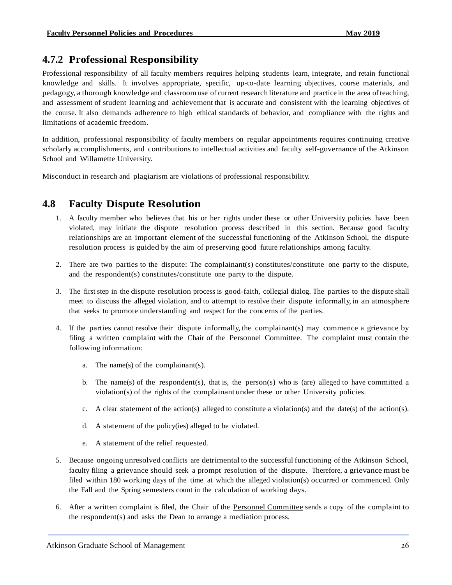## <span id="page-29-0"></span>**4.7.2 Professional Responsibility**

Professional responsibility of all faculty members requires helping students learn, integrate, and retain functional knowledge and skills. It involves appropriate, specific, up-to-date learning objectives, course materials, and pedagogy, a thorough knowledge and classroom use of current research literature and practice in the area of teaching, and assessment of student learning and achievement that is accurate and consistent with the learning objectives of the course. It also demands adherence to high ethical standards of behavior, and compliance with the rights and limitations of academic freedom.

In addition, professional responsibility of faculty members on regular [appointments](#page-6-1) requires continuing creative scholarly accomplishments, and contributions to intellectual activities and faculty self-governance of the Atkinson School and Willamette University.

Misconduct in research and plagiarism are violations of professional responsibility.

## <span id="page-29-1"></span>**4.8 Faculty Dispute Resolution**

- 1. A faculty member who believes that his or her rights under these or other University policies have been violated, may initiate the dispute resolution process described in this section. Because good faculty relationships are an important element of the successful functioning of the Atkinson School, the dispute resolution process is guided by the aim of preserving good future relationships among faculty.
- 2. There are two parties to the dispute: The complainant(s) constitutes/constitute one party to the dispute, and the respondent(s) constitutes/constitute one party to the dispute.
- 3. The first step in the dispute resolution process is good-faith, collegial dialog. The parties to the dispute shall meet to discuss the alleged violation, and to attempt to resolve their dispute informally, in an atmosphere that seeks to promote understanding and respect for the concerns of the parties.
- 4. If the parties cannot resolve their dispute informally, the complainant(s) may commence a grievance by filing a written complaint with the Chair of the Personnel Committee. The complaint must contain the following information:
	- a. The name(s) of the complainant(s).
	- b. The name(s) of the respondent(s), that is, the person(s) who is (are) alleged to have committed a violation(s) of the rights of the complainant under these or other University policies.
	- c. A clear statement of the action(s) alleged to constitute a violation(s) and the date(s) of the action(s).
	- d. A statement of the policy(ies) alleged to be violated.
	- e. A statement of the relief requested.
- 5. Because ongoing unresolved conflicts are detrimental to the successful functioning of the Atkinson School, faculty filing a grievance should seek a prompt resolution of the dispute. Therefore, a grievance must be filed within 180 working days of the time at which the alleged violation(s) occurred or commenced. Only the Fall and the Spring semesters count in the calculation of working days.
- 6. After a written complaint is filed, the Chair of the Personnel [Committee](#page-7-4) sends a copy of the complaint to the respondent(s) and asks the Dean to arrange a mediation process.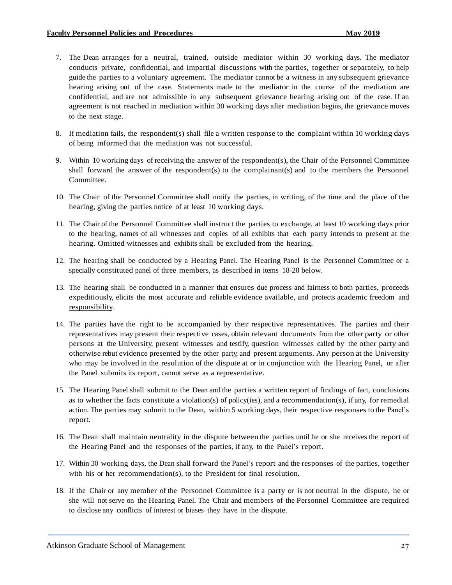- 7. The Dean arranges for a neutral, trained, outside mediator within 30 working days. The mediator conducts private, confidential, and impartial discussions with the parties, together or separately, to help guide the parties to a voluntary agreement. The mediator cannot be a witness in any subsequent grievance hearing arising out of the case. Statements made to the mediator in the course of the mediation are confidential, and are not admissible in any subsequent grievance hearing arising out of the case. If an agreement is not reached in mediation within 30 working days after mediation begins, the grievance moves to the next stage.
- 8. If mediation fails, the respondent(s) shall file a written response to the complaint within 10 working days of being informed that the mediation was not successful.
- 9. Within 10 working days of receiving the answer of the respondent(s), the Chair of the Personnel Committee shall forward the answer of the respondent(s) to the complainant(s) and to the members the Personnel Committee.
- 10. The Chair of the Personnel Committee shall notify the parties, in writing, of the time and the place of the hearing, giving the parties notice of at least 10 working days.
- 11. The Chair of the Personnel Committee shall instruct the parties to exchange, at least 10 working days prior to the hearing, names of all witnesses and copies of all exhibits that each party intends to present at the hearing. Omitted witnesses and exhibits shall be excluded from the hearing.
- 12. The hearing shall be conducted by a Hearing Panel. The Hearing Panel is the Personnel Committee or a specially constituted panel of three members, as described in items 18-20 below.
- 13. The hearing shall be conducted in a manner that ensures due process and fairness to both parties, proceeds expeditiously, elicits the most accurate and reliable evidence available, and protects [academic](#page-28-0) freedom and [responsibility.](#page-28-0)
- 14. The parties have the right to be accompanied by their respective representatives. The parties and their representatives may present their respective cases, obtain relevant documents from the other party or other persons at the University, present witnesses and testify, question witnesses called by the other party and otherwise rebut evidence presented by the other party, and present arguments. Any person at the University who may be involved in the resolution of the dispute at or in conjunction with the Hearing Panel, or after the Panel submits its report, cannot serve as a representative.
- 15. The Hearing Panel shall submit to the Dean and the parties a written report of findings of fact, conclusions as to whether the facts constitute a violation(s) of policy(ies), and a recommendation(s), if any, for remedial action. The parties may submit to the Dean, within 5 working days, their respective responses to the Panel's report.
- 16. The Dean shall maintain neutrality in the dispute between the parties until he or she receives the report of the Hearing Panel and the responses of the parties, if any, to the Panel's report.
- 17. Within 30 working days, the Dean shall forward the Panel's report and the responses of the parties, together with his or her recommendation(s), to the President for final resolution.
- 18. If the Chair or any member of the Personnel [Committee](#page-7-4) is a party or is not neutral in the dispute, he or she will not serve on the Hearing Panel. The Chair and members of the Personnel Committee are required to disclose any conflicts of interest or biases they have in the dispute.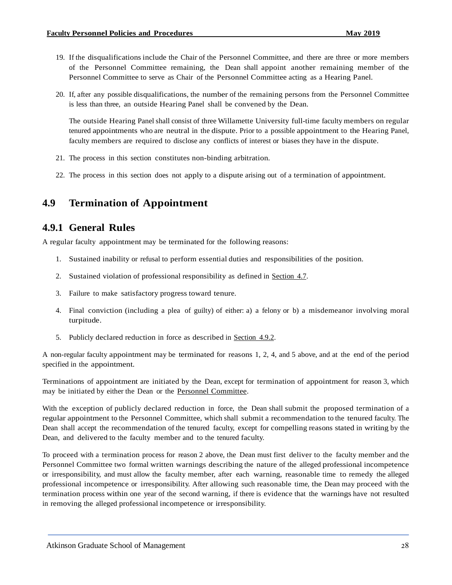- 19. If the disqualifications include the Chair of the Personnel Committee, and there are three or more members of the Personnel Committee remaining, the Dean shall appoint another remaining member of the Personnel Committee to serve as Chair of the Personnel Committee acting as a Hearing Panel.
- 20. If, after any possible disqualifications, the number of the remaining persons from the Personnel Committee is less than three, an outside Hearing Panel shall be convened by the Dean.

The outside Hearing Panel shall consist of three Willamette University full-time faculty members on regular tenured appointments who are neutral in the dispute. Prior to a possible appointment to the Hearing Panel, faculty members are required to disclose any conflicts of interest or biases they have in the dispute.

- 21. The process in this section constitutes non-binding arbitration.
- 22. The process in this section does not apply to a dispute arising out of a termination of appointment.

## <span id="page-31-0"></span>**4.9 Termination of Appointment**

#### <span id="page-31-1"></span>**4.9.1 General Rules**

A regular faculty appointment may be terminated for the following reasons:

- 1. Sustained inability or refusal to perform essential duties and responsibilities of the position.
- 2. Sustained violation of professional responsibility as defined in [Section](#page-28-0) 4.7.
- 3. Failure to make satisfactory progress toward tenure.
- 4. Final conviction (including a plea of guilty) of either: a) a felony or b) a misdemeanor involving moral turpitude.
- 5. Publicly declared reduction in force as described in [Section](#page-32-0) 4.9.2.

A non-regular faculty appointment may be terminated for reasons 1, 2, 4, and 5 above, and at the end of the period specified in the appointment.

Terminations of appointment are initiated by the Dean, except for termination of appointment for reason 3, which may be initiated by either the Dean or the Personnel [Committee.](#page-7-4)

With the exception of publicly declared reduction in force, the Dean shall submit the proposed termination of a regular appointment to the Personnel Committee, which shall submit a recommendation to the tenured faculty. The Dean shall accept the recommendation of the tenured faculty, except for compelling reasons stated in writing by the Dean, and delivered to the faculty member and to the tenured faculty.

To proceed with a termination process for reason 2 above, the Dean must first deliver to the faculty member and the Personnel Committee two formal written warnings describing the nature of the alleged professional incompetence or irresponsibility, and must allow the faculty member, after each warning, reasonable time to remedy the alleged professional incompetence or irresponsibility. After allowing such reasonable time, the Dean may proceed with the termination process within one year of the second warning, if there is evidence that the warnings have not resulted in removing the alleged professional incompetence or irresponsibility.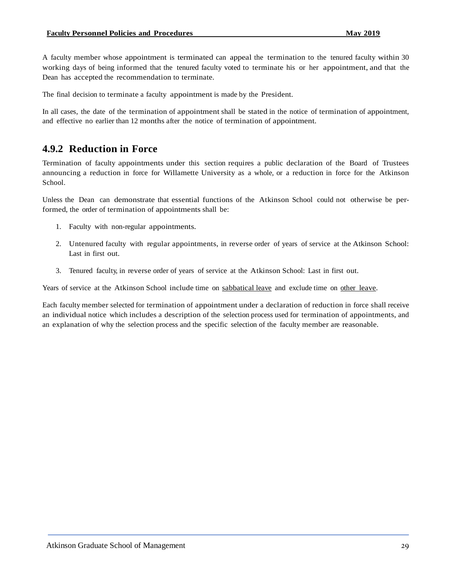A faculty member whose appointment is terminated can appeal the termination to the tenured faculty within 30 working days of being informed that the tenured faculty voted to terminate his or her appointment, and that the Dean has accepted the recommendation to terminate.

The final decision to terminate a faculty appointment is made by the President.

In all cases, the date of the termination of appointment shall be stated in the notice of termination of appointment, and effective no earlier than 12 months after the notice of termination of appointment.

## <span id="page-32-0"></span>**4.9.2 Reduction in Force**

Termination of faculty appointments under this section requires a public declaration of the Board of Trustees announcing a reduction in force for Willamette University as a whole, or a reduction in force for the Atkinson School.

Unless the Dean can demonstrate that essential functions of the Atkinson School could not otherwise be performed, the order of termination of appointments shall be:

- 1. Faculty with non-regular appointments.
- 2. Untenured faculty with regular appointments, in reverse order of years of service at the Atkinson School: Last in first out.
- 3. Tenured faculty, in reverse order of years of service at the Atkinson School: Last in first out.

Years of service at the Atkinson School include time on [sabbatical](#page-26-0) leave and exclude time on other [leave.](#page-27-0)

Each faculty member selected for termination of appointment under a declaration of reduction in force shall receive an individual notice which includes a description of the selection process used for termination of appointments, and an explanation of why the selection process and the specific selection of the faculty member are reasonable.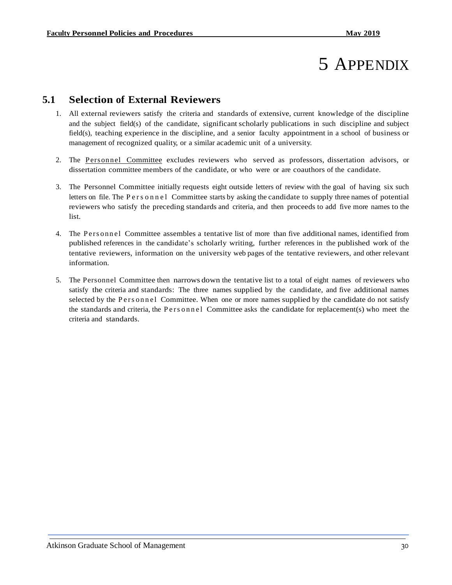## 5 APPENDIX

## <span id="page-33-0"></span>**5.1 Selection of External Reviewers**

- 1. All external reviewers satisfy the criteria and standards of extensive, current knowledge of the discipline and the subject field(s) of the candidate, significant scholarly publications in such discipline and subject field(s), teaching experience in the discipline, and a senior faculty appointment in a school of business or management of recognized quality, or a similar academic unit of a university.
- 2. The [Pers onnel Committee](#page-7-4) excludes reviewers who served as professors, dissertation advisors, or dissertation committee members of the candidate, or who were or are coauthors of the candidate.
- 3. The Personnel Committee initially requests eight outside letters of review with the goal of having six such letters on file. The P e r s o n n e l Committee starts by asking the candidate to supply three names of potential reviewers who satisfy the preceding standards and criteria, and then proceeds to add five more names to the list.
- 4. The Personnel Committee assembles a tentative list of more than five additional names, identified from published references in the candidate's scholarly writing, further references in the published work of the tentative reviewers, information on the university web pages of the tentative reviewers, and other relevant information.
- <span id="page-33-1"></span>5. The Personnel Committee then narrows down the tentative list to a total of eight names of reviewers who satisfy the criteria and standards: The three names supplied by the candidate, and five additional names selected by the Personnel Committee. When one or more names supplied by the candidate do not satisfy the standards and criteria, the P ersonnel Committee asks the candidate for replacement(s) who meet the criteria and standards.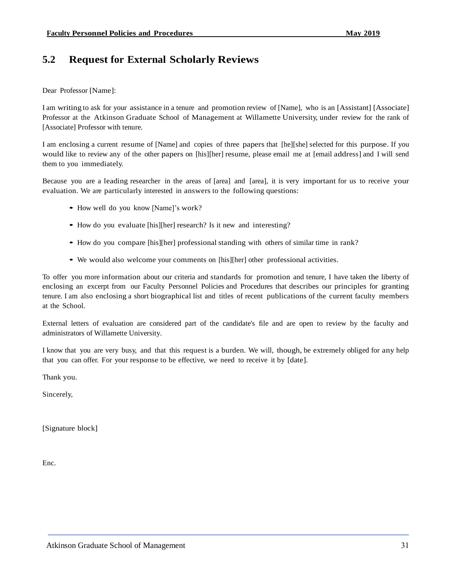## **5.2 Request for External Scholarly Reviews**

Dear Professor [Name]:

I am writing to ask for your assistance in a tenure and promotion review of [Name], who is an [Assistant] [Associate] Professor at the Atkinson Graduate School of Management at Willamette University, under review for the rank of [Associate] Professor with tenure.

I am enclosing a current resume of [Name] and copies of three papers that [he][she] selected for this purpose. If you would like to review any of the other papers on [his][her] resume, please email me at [email address] and I will send them to you immediately.

Because you are a leading researcher in the areas of [area] and [area], it is very important for us to receive your evaluation. We are particularly interested in answers to the following questions:

- How well do you know [Name]'s work?
- How do you evaluate [his][her] research? Is it new and interesting?
- How do you compare [his][her] professional standing with others of similar time in rank?
- We would also welcome your comments on [his][her] other professional activities.

To offer you more information about our criteria and standards for promotion and tenure, I have taken the liberty of enclosing an excerpt from our Faculty Personnel Policies and Procedures that describes our principles for granting tenure. I am also enclosing a short biographical list and titles of recent publications of the current faculty members at the School.

External letters of evaluation are considered part of the candidate's file and are open to review by the faculty and administrators of Willamette University.

I know that you are very busy, and that this request is a burden. We will, though, be extremely obliged for any help that you can offer. For your response to be effective, we need to receive it by [date].

Thank you.

Sincerely,

[Signature block]

<span id="page-34-0"></span>Enc.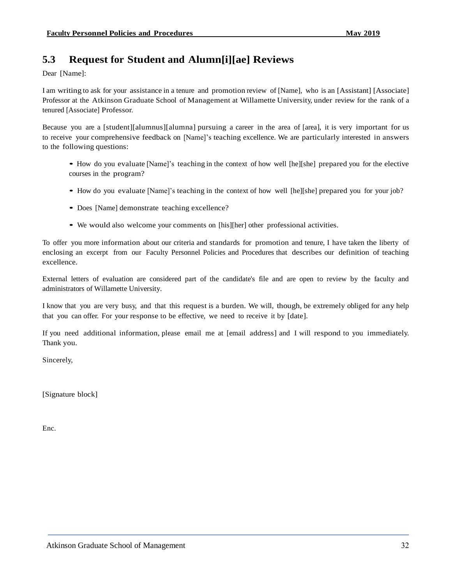## **5.3 Request for Student and Alumn[i][ae] Reviews**

Dear [Name]:

I am writing to ask for your assistance in a tenure and promotion review of [Name], who is an [Assistant] [Associate] Professor at the Atkinson Graduate School of Management at Willamette University, under review for the rank of a tenured [Associate] Professor.

Because you are a [student][alumnus][alumna] pursuing a career in the area of [area], it is very important for us to receive your comprehensive feedback on [Name]'s teaching excellence. We are particularly interested in answers to the following questions:

- How do you evaluate [Name]'s teaching in the context of how well [he][she] prepared you for the elective courses in the program?
- How do you evaluate [Name]'s teaching in the context of how well [he][she] prepared you for your job?
- Does [Name] demonstrate teaching excellence?
- We would also welcome your comments on [his][her] other professional activities.

To offer you more information about our criteria and standards for promotion and tenure, I have taken the liberty of enclosing an excerpt from our Faculty Personnel Policies and Procedures that describes our definition of teaching excellence.

External letters of evaluation are considered part of the candidate's file and are open to review by the faculty and administrators of Willamette University.

I know that you are very busy, and that this request is a burden. We will, though, be extremely obliged for any help that you can offer. For your response to be effective, we need to receive it by [date].

If you need additional information, please email me at [email address] and I will respond to you immediately. Thank you.

Sincerely,

[Signature block]

<span id="page-35-0"></span>Enc.